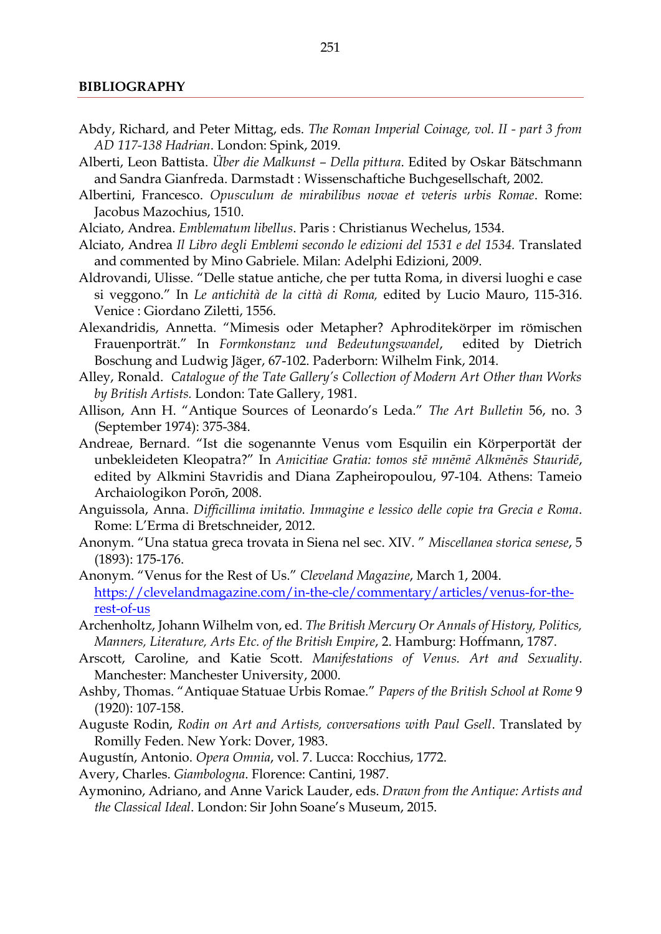## **BIBLIOGRAPHY**

- Abdy, Richard, and Peter Mittag, eds. *The Roman Imperial Coinage, vol. II - part 3 from AD 117-138 Hadrian*. London: Spink, 2019.
- Alberti, Leon Battista. *Über die Malkunst – Della pittura*. Edited by Oskar Bätschmann and Sandra Gianfreda. Darmstadt : Wissenschaftiche Buchgesellschaft, 2002.
- Albertini, Francesco. *Opusculum de mirabilibus novae et veteris urbis Romae*. Rome: Jacobus Mazochius, 1510.
- Alciato, Andrea. *Emblematum libellus*. Paris : Christianus Wechelus, 1534.
- Alciato, Andrea *Il Libro degli Emblemi secondo le edizioni del 1531 e del 1534.* Translated and commented by Mino Gabriele. Milan: Adelphi Edizioni, 2009.
- Aldrovandi, Ulisse. "Delle statue antiche, che per tutta Roma, in diversi luoghi e case si veggono." In *Le antichità de la città di Roma,* edited by Lucio Mauro, 115-316. Venice : Giordano Ziletti, 1556.
- Alexandridis, Annetta. "Mimesis oder Metapher? Aphroditekörper im römischen Frauenporträt." In *Formkonstanz und Bedeutungswandel*, edited by Dietrich Boschung and Ludwig Jäger, 67-102. Paderborn: Wilhelm Fink, 2014.
- Alley, Ronald. *Catalogue of the Tate Gallery's Collection of Modern Art Other than Works by British Artists.* London: Tate Gallery, 1981.
- Allison, Ann H. "Antique Sources of Leonardo's Leda." *The Art Bulletin* 56, no. 3 (September 1974): 375-384.
- Andreae, Bernard. "Ist die sogenannte Venus vom Esquilin ein Körperportät der unbekleideten Kleopatra?" In *Amicitiae Gratia: tomos stē mnēmē Alkmēnēs Stauridē*, edited by Alkmini Stavridis and Diana Zapheiropoulou, 97-104. Athens: Tameio Archaiologikon Porōn, 2008.
- Anguissola, Anna. *Difficillima imitatio. Immagine e lessico delle copie tra Grecia e Roma*. Rome: L'Erma di Bretschneider, 2012.
- Anonym. "Una statua greca trovata in Siena nel sec. XIV. " *Miscellanea storica senese*, 5 (1893): 175-176.
- Anonym. "Venus for the Rest of Us." *Cleveland Magazine*, March 1, 2004. [https://clevelandmagazine.com/in-the-cle/commentary/articles/venus-for-the](https://clevelandmagazine.com/in-the-cle/commentary/articles/venus-for-the-rest-of-us)[rest-of-us](https://clevelandmagazine.com/in-the-cle/commentary/articles/venus-for-the-rest-of-us)
- Archenholtz, Johann Wilhelm von, ed. *The British Mercury Or Annals of History, Politics, Manners, Literature, Arts Etc. of the British Empire*, 2. Hamburg: Hoffmann, 1787.
- Arscott, Caroline, and Katie Scott. *Manifestations of Venus. Art and Sexuality*. Manchester: Manchester University, 2000.
- Ashby, Thomas. "Antiquae Statuae Urbis Romae." *Papers of the British School at Rome* 9 (1920): 107-158.
- Auguste Rodin, *Rodin on Art and Artists, conversations with Paul Gsell*. Translated by Romilly Feden. New York: Dover, 1983.
- Augustín, Antonio. *Opera Omnia*, vol. 7. Lucca: Rocchius, 1772.
- Avery, Charles. *Giambologna*. Florence: Cantini, 1987.
- Aymonino, Adriano, and Anne Varick Lauder, eds. *Drawn from the Antique: Artists and the Classical Ideal*. London: Sir John Soane's Museum, 2015.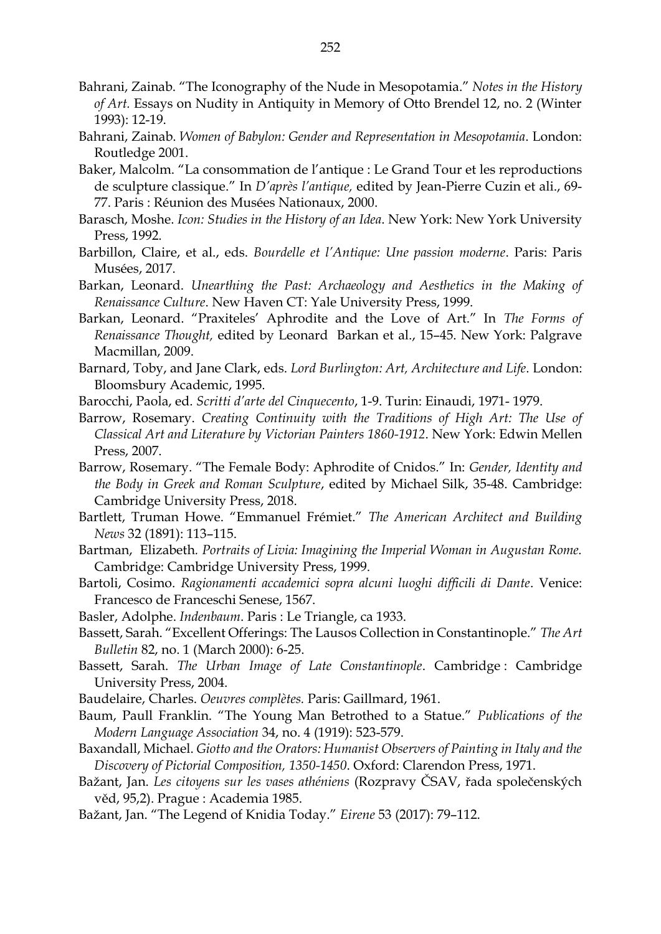- Bahrani, Zainab. "The Iconography of the Nude in Mesopotamia." *Notes in the History of Art.* Essays on Nudity in Antiquity in Memory of Otto Brendel 12, no. 2 (Winter 1993): 12-19.
- Bahrani, Zainab. *Women of Babylon: Gender and Representation in Mesopotamia*. London: Routledge 2001.
- Baker, Malcolm. "La consommation de l'antique : Le Grand Tour et les reproductions de sculpture classique." In *D'après l'antique,* edited by Jean-Pierre Cuzin et ali., 69- 77. Paris : Réunion des Musées Nationaux, 2000.
- Barasch, Moshe. *Icon: Studies in the History of an Idea*. New York: New York University Press, 1992.
- Barbillon, Claire, et al., eds. *Bourdelle et l'Antique: Une passion moderne*. Paris: Paris Musées, 2017.
- Barkan, Leonard. *Unearthing the Past: Archaeology and Aesthetics in the Making of Renaissance Culture*. New Haven CT: Yale University Press, 1999.
- Barkan, Leonard. "Praxiteles' Aphrodite and the Love of Art." In *The Forms of Renaissance Thought,* edited by LeonardBarkan et al., 15–45. New York: Palgrave Macmillan, 2009.
- Barnard, Toby, and Jane Clark, eds. *Lord Burlington: Art, Architecture and Life*. London: Bloomsbury Academic, 1995.
- Barocchi, Paola, ed. *Scritti d'arte del Cinquecento*, 1-9. Turin: Einaudi, 1971- 1979.
- Barrow, Rosemary. *Creating Continuity with the Traditions of High Art: The Use of Classical Art and Literature by Victorian Painters 1860-1912*. New York: Edwin Mellen Press, 2007.
- Barrow, Rosemary. "The Female Body: Aphrodite of Cnidos." In: *Gender, Identity and the Body in Greek and Roman Sculpture*, edited by Michael Silk, 35-48. Cambridge: Cambridge University Press, 2018.
- Bartlett, Truman Howe. "Emmanuel Frémiet." *The American Architect and Building News* 32 (1891): 113–115.
- Bartman, Elizabeth*. Portraits of Livia: Imagining the Imperial Woman in Augustan Rome.*  Cambridge: Cambridge University Press, 1999.
- Bartoli, Cosimo. *Ragionamenti accademici sopra alcuni luoghi difficili di Dante*. Venice: Francesco de Franceschi Senese, 1567.
- Basler, Adolphe. *Indenbaum*. Paris : Le Triangle, ca 1933.
- Bassett, Sarah. "Excellent Offerings: The Lausos Collection in Constantinople." *The Art Bulletin* 82, no. 1 (March 2000): 6-25.
- Bassett, Sarah. *The Urban Image of Late Constantinople*. Cambridge : Cambridge University Press, 2004.
- Baudelaire, Charles. *Oeuvres complètes.* Paris: Gaillmard, 1961.
- Baum, Paull Franklin. "The Young Man Betrothed to a Statue." *Publications of the Modern Language Association* 34, no. 4 (1919): 523-579.
- Baxandall, Michael. *Giotto and the Orators: Humanist Observers of Painting in Italy and the Discovery of Pictorial Composition, 1350-1450*. Oxford: Clarendon Press, 1971.
- Bažant, Jan. *Les citoyens sur les vases athéniens* (Rozpravy ČSAV, řada společenských věd, 95,2). Prague : Academia 1985.
- Bažant, Jan. "The Legend of Knidia Today." *Eirene* 53 (2017): 79–112.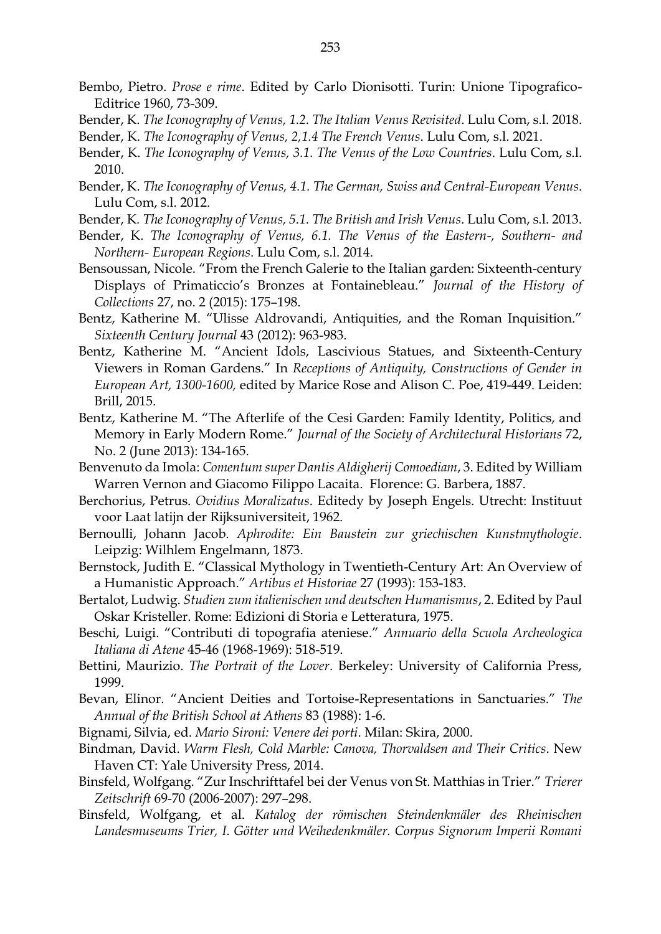- Bembo, Pietro. *Prose e rime*. Edited by Carlo Dionisotti. Turin: Unione Tipografico-Editrice 1960, 73-309.
- Bender, K. *The Iconography of Venus, 1.2. The Italian Venus Revisited*. Lulu Com, s.l. 2018.
- Bender, K. *The Iconography of Venus, 2,1.4 The French Venus*. Lulu Com, s.l. 2021.
- Bender, K. *The Iconography of Venus, 3.1. The Venus of the Low Countries*. Lulu Com, s.l. 2010.
- Bender, K. *The Iconography of Venus, 4.1. The German, Swiss and Central-European Venus*. Lulu Com, s.l. 2012.
- Bender, K*. The Iconography of Venus, 5.1. The British and Irish Venus*. Lulu Com, s.l. 2013.
- Bender, K. *The Iconography of Venus, 6.1. The Venus of the Eastern-, Southern- and Northern- European Regions*. Lulu Com, s.l. 2014.
- Bensoussan, Nicole. "From the French Galerie to the Italian garden: Sixteenth-century Displays of Primaticcio's Bronzes at Fontainebleau." *Journal of the History of Collections* 27, no. 2 (2015): 175–198.
- Bentz, Katherine M. "Ulisse Aldrovandi, Antiquities, and the Roman Inquisition." *Sixteenth Century Journal* 43 (2012): 963-983.
- Bentz, Katherine M. "Ancient Idols, Lascivious Statues, and Sixteenth-Century Viewers in Roman Gardens." In *Receptions of Antiquity, Constructions of Gender in European Art, 1300-1600,* edited by Marice Rose and Alison C. Poe, 419-449. Leiden: Brill, 2015.
- Bentz, Katherine M. "The Afterlife of the Cesi Garden: Family Identity, Politics, and Memory in Early Modern Rome." *Journal of the Society of Architectural Historians* 72, No. 2 (June 2013): 134-165.
- Benvenuto da Imola: *Comentum super Dantis Aldigherij Comoediam*, 3. Edited by William Warren Vernon and Giacomo Filippo Lacaita. Florence: G. Barbera, 1887.
- Berchorius, Petrus. *Ovidius Moralizatus*. Editedy by Joseph Engels. Utrecht: Instituut voor Laat latijn der Rijksuniversiteit, 1962.
- Bernoulli, Johann Jacob. *Aphrodite: Ein Baustein zur griechischen Kunstmythologie*. Leipzig: Wilhlem Engelmann, 1873.
- Bernstock, Judith E. "Classical Mythology in Twentieth-Century Art: An Overview of a Humanistic Approach." *Artibus et Historiae* 27 (1993): 153-183.
- Bertalot, Ludwig. *Studien zum italienischen und deutschen Humanismus*, 2. Edited by Paul Oskar Kristeller. Rome: Edizioni di Storia e Letteratura, 1975.
- Beschi, Luigi. "Contributi di topografia ateniese." *Annuario della Scuola Archeologica Italiana di Atene* 45-46 (1968-1969): 518-519.
- Bettini, Maurizio. *The Portrait of the Lover*. Berkeley: University of California Press, 1999.
- Bevan, Elinor. "Ancient Deities and Tortoise-Representations in Sanctuaries." *The Annual of the British School at Athens* 83 (1988): 1-6.
- Bignami, Silvia, ed. *Mario Sironi: Venere dei porti*. Milan: Skira, 2000.
- Bindman, David. *Warm Flesh, Cold Marble: Canova, Thorvaldsen and Their Critics*. New Haven CT: Yale University Press, 2014.
- Binsfeld, Wolfgang. "Zur Inschrifttafel bei der Venus von St. Matthias in Trier." *Trierer Zeitschrift* 69-70 (2006-2007): 297–298.
- Binsfeld, Wolfgang, et al. *Katalog der römischen Steindenkmäler des Rheinischen Landesmuseums Trier, I. Götter und Weihedenkmäler. Corpus Signorum Imperii Romani*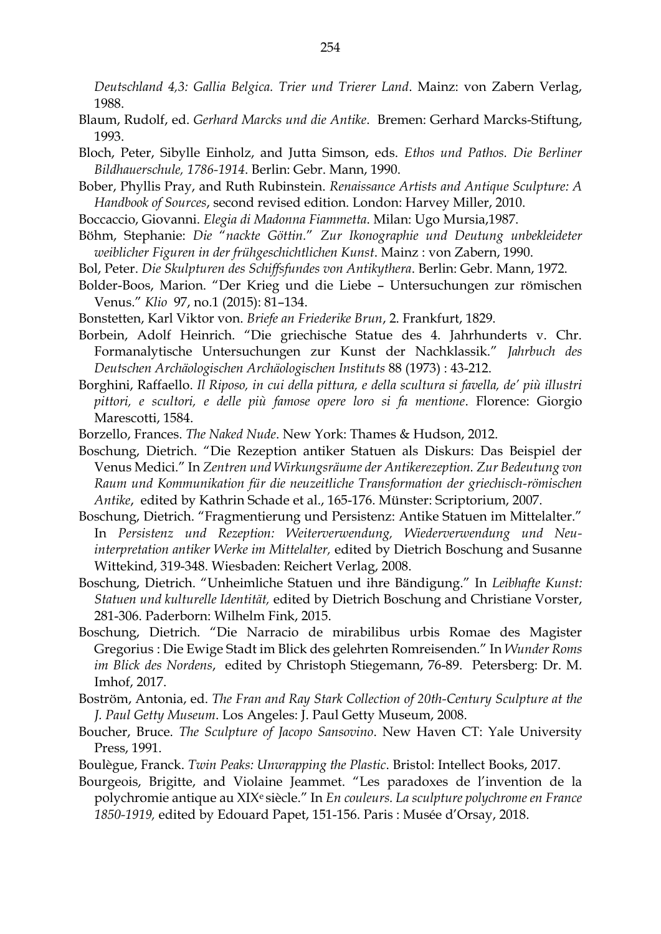*Deutschland 4,3: Gallia Belgica. Trier und Trierer Land*. Mainz: von Zabern Verlag, 1988.

- Blaum, Rudolf, ed. *Gerhard Marcks und die Antike*. Bremen: Gerhard Marcks-Stiftung, 1993.
- Bloch, Peter, Sibylle Einholz, and Jutta Simson, eds. *Ethos und Pathos. Die Berliner Bildhauerschule, 1786-1914*. Berlin: Gebr. Mann, 1990.
- Bober, Phyllis Pray, and Ruth Rubinstein. *Renaissance Artists and Antique Sculpture: A Handbook of Sources*, second revised edition. London: Harvey Miller, 2010.
- Boccaccio, Giovanni. *Elegia di Madonna Fiammetta*. Milan: Ugo Mursia,1987.
- Böhm, Stephanie: *Die* "*nackte Göttin.*" *Zur Ikonographie und Deutung unbekleideter weiblicher Figuren in der frühgeschichtlichen Kunst*. Mainz : von Zabern, 1990.
- Bol, Peter. *Die Skulpturen des Schiffsfundes von Antikythera*. Berlin: Gebr. Mann, 1972.
- Bolder-Boos, Marion. "Der Krieg und die Liebe Untersuchungen zur römischen Venus." *Klio* 97, no.1 (2015): 81–134.
- Bonstetten, Karl Viktor von. *Briefe an Friederike Brun*, 2. Frankfurt, 1829.
- Borbein, Adolf Heinrich. "Die griechische Statue des 4. Jahrhunderts v. Chr. Formanalytische Untersuchungen zur Kunst der Nachklassik." *Jahrbuch des Deutschen Archäologischen Archäologischen Instituts* 88 (1973) : 43-212.
- Borghini, Raffaello. *Il Riposo, in cui della pittura, e della scultura si favella, de' più illustri pittori, e scultori, e delle più famose opere loro si fa mentione*. Florence: Giorgio Marescotti, 1584.
- Borzello, Frances. *The Naked Nude*. New York: Thames & Hudson, 2012.
- Boschung, Dietrich. "Die Rezeption antiker Statuen als Diskurs: Das Beispiel der Venus Medici." In *Zentren und Wirkungsräume der Antikerezeption. Zur Bedeutung von Raum und Kommunikation für die neuzeitliche Transformation der griechisch-römischen Antike*, edited by Kathrin Schade et al., 165-176. Münster: Scriptorium, 2007.
- Boschung, Dietrich. "Fragmentierung und Persistenz: Antike Statuen im Mittelalter." In *Persistenz und Rezeption: Weiterverwendung, Wiederverwendung und Neuinterpretation antiker Werke im Mittelalter,* edited by Dietrich Boschung and Susanne Wittekind, 319-348. Wiesbaden: Reichert Verlag, 2008.
- Boschung, Dietrich. "Unheimliche Statuen und ihre Bändigung." In *Leibhafte Kunst: Statuen und kulturelle Identität,* edited by Dietrich Boschung and Christiane Vorster, 281-306. Paderborn: Wilhelm Fink, 2015.
- Boschung, Dietrich. "Die Narracio de mirabilibus urbis Romae des Magister Gregorius : Die Ewige Stadt im Blick des gelehrten Romreisenden." In *Wunder Roms im Blick des Nordens*, edited by Christoph Stiegemann, 76-89. Petersberg: Dr. M. Imhof, 2017.
- Boström, Antonia, ed. *The Fran and Ray Stark Collection of 20th-Century Sculpture at the J. Paul Getty Museum*. Los Angeles: J. Paul Getty Museum, 2008.
- Boucher, Bruce. *The Sculpture of Jacopo Sansovino*. New Haven CT: Yale University Press, 1991.
- Boulègue, Franck. *Twin Peaks: Unwrapping the Plastic*. Bristol: Intellect Books, 2017.
- Bourgeois, Brigitte, and Violaine Jeammet. "Les paradoxes de l'invention de la polychromie antique au XIXe siècle." In *En couleurs. La sculpture polychrome en France 1850-1919,* edited by Edouard Papet, 151-156. Paris : Musée d'Orsay, 2018.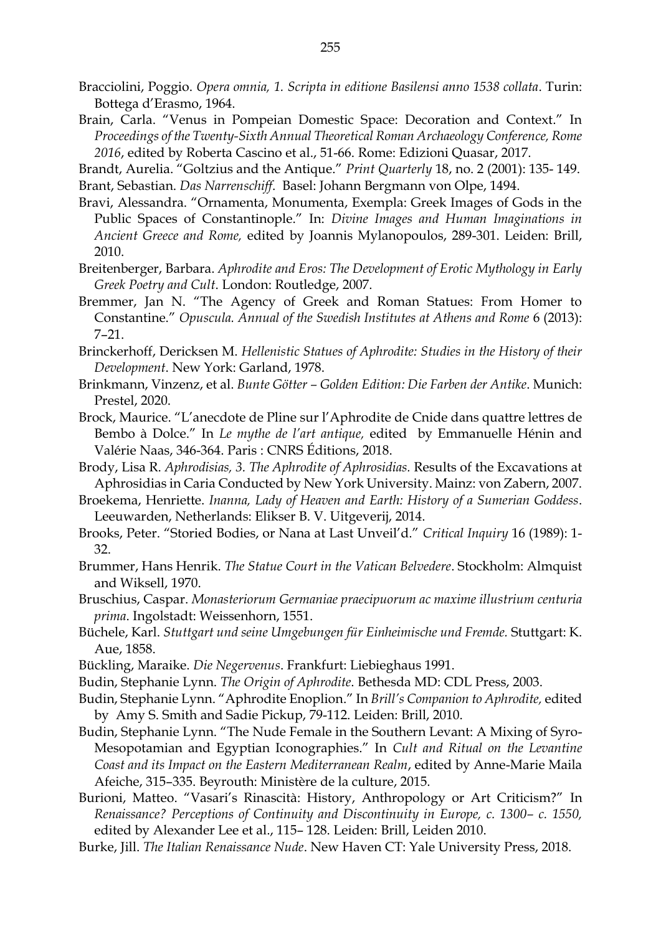- Bracciolini, Poggio. *Opera omnia, 1. Scripta in editione Basilensi anno 1538 collata*. Turin: Bottega d'Erasmo, 1964.
- Brain, Carla. "Venus in Pompeian Domestic Space: Decoration and Context." In *Proceedings of the Twenty-Sixth Annual Theoretical Roman Archaeology Conference, Rome 2016*, edited by Roberta Cascino et al., 51-66. Rome: Edizioni Quasar, 2017.

Brandt, Aurelia. "Goltzius and the Antique." *Print Quarterly* 18, no. 2 (2001): 135- 149. Brant, Sebastian. *Das Narrenschiff*. Basel: Johann Bergmann von Olpe, 1494.

- Bravi, Alessandra. "Ornamenta, Monumenta, Exempla: Greek Images of Gods in the Public Spaces of Constantinople." In: *Divine Images and Human Imaginations in Ancient Greece and Rome,* edited by Joannis Mylanopoulos, 289-301. Leiden: Brill, 2010.
- Breitenberger, Barbara. *Aphrodite and Eros: The Development of Erotic Mythology in Early Greek Poetry and Cult*. London: Routledge, 2007.
- Bremmer, Jan N. "The Agency of Greek and Roman Statues: From Homer to Constantine." *Opuscula. Annual of the Swedish Institutes at Athens and Rome* 6 (2013): 7–21.
- Brinckerhoff, Dericksen M. *Hellenistic Statues of Aphrodite: Studies in the History of their Development*. New York: Garland, 1978.
- Brinkmann, Vinzenz, et al. *Bunte Götter – Golden Edition: Die Farben der Antike*. Munich: Prestel, 2020.
- Brock, Maurice. "L'anecdote de Pline sur l'Aphrodite de Cnide dans quattre lettres de Bembo à Dolce." In *Le mythe de l'art antique,* edited by Emmanuelle Hénin and Valérie Naas, 346-364. Paris : CNRS Éditions, 2018.
- Brody, Lisa R. *Aphrodisias, 3. The Aphrodite of Aphrosidias.* Results of the Excavations at Aphrosidias in Caria Conducted by New York University. Mainz: von Zabern, 2007.
- Broekema, Henriette. *Inanna, Lady of Heaven and Earth: History of a Sumerian Goddess*. Leeuwarden, Netherlands: Elikser B. V. Uitgeverij, 2014.
- Brooks, Peter. "Storied Bodies, or Nana at Last Unveil'd." *Critical Inquiry* 16 (1989): 1- 32.
- Brummer, Hans Henrik. *The Statue Court in the Vatican Belvedere*. Stockholm: Almquist and Wiksell, 1970.
- Bruschius, Caspar. *Monasteriorum Germaniae praecipuorum ac maxime illustrium centuria prima*. Ingolstadt: Weissenhorn, 1551.
- Büchele, Karl. *Stuttgart und seine Umgebungen für Einheimische und Fremde.* Stuttgart: K. Aue, 1858.
- Bückling, Maraike. *Die Negervenus*. Frankfurt: Liebieghaus 1991.
- Budin, Stephanie Lynn. *The Origin of Aphrodite*. Bethesda MD: CDL Press, 2003.
- Budin, Stephanie Lynn. "Aphrodite Enoplion." In *Brill's Companion to Aphrodite,* edited by Amy S. Smith and Sadie Pickup, 79-112. Leiden: Brill, 2010.
- Budin, Stephanie Lynn. "The Nude Female in the Southern Levant: A Mixing of Syro-Mesopotamian and Egyptian Iconographies." In *Cult and Ritual on the Levantine Coast and its Impact on the Eastern Mediterranean Realm*, edited by Anne-Marie Maila Afeiche, 315–335. Beyrouth: Ministère de la culture, 2015.
- Burioni, Matteo. "Vasari's Rinascità: History, Anthropology or Art Criticism?" In *Renaissance? Perceptions of Continuity and Discontinuity in Europe, c. 1300– c. 1550,* edited by Alexander Lee et al., 115– 128. Leiden: Brill, Leiden 2010.
- Burke, Jill. *The Italian Renaissance Nude*. New Haven CT: Yale University Press, 2018.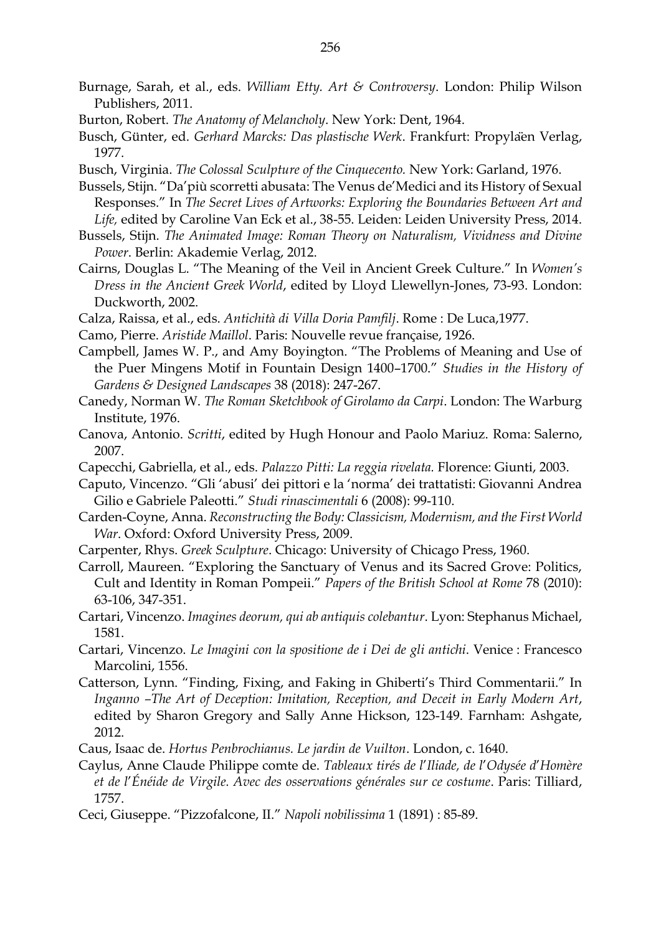- Burnage, Sarah, et al., eds. *William Etty. Art & Controversy*. London: Philip Wilson Publishers, 2011.
- Burton, Robert. *The Anatomy of Melancholy*. New York: Dent, 1964.
- Busch, Günter, ed. *Gerhard Marcks: Das plastische Werk*. Frankfurt: Propyläen Verlag, 1977.
- Busch, Virginia. *The Colossal Sculpture of the Cinquecento.* New York: Garland, 1976.
- Bussels, Stijn. "Da'più scorretti abusata: The Venus de'Medici and its History of Sexual Responses." In *The Secret Lives of Artworks: Exploring the Boundaries Between Art and Life,* edited by Caroline Van Eck et al., 38-55. Leiden: Leiden University Press, 2014.
- Bussels, Stijn. *The Animated Image: Roman Theory on Naturalism, Vividness and Divine Power*. Berlin: Akademie Verlag, 2012.
- Cairns, Douglas L. "The Meaning of the Veil in Ancient Greek Culture." In *Women's Dress in the Ancient Greek World*, edited by Lloyd Llewellyn-Jones, 73-93. London: Duckworth, 2002.
- Calza, Raissa, et al., eds. *Antichità di Villa Doria Pamfilj*. Rome : De Luca,1977.
- Camo, Pierre. *Aristide Maillol*. Paris: Nouvelle revue française, 1926.
- Campbell, James W. P., and Amy Boyington. "The Problems of Meaning and Use of the Puer Mingens Motif in Fountain Design 1400–1700." *Studies in the History of Gardens & Designed Landscapes* 38 (2018): 247-267.
- Canedy, Norman W. *The Roman Sketchbook of Girolamo da Carpi*. London: The Warburg Institute, 1976.
- Canova, Antonio. *Scritti*, edited by Hugh Honour and Paolo Mariuz. Roma: Salerno, 2007.
- Capecchi, Gabriella, et al., eds. *Palazzo Pitti: La reggia rivelata.* Florence: Giunti, 2003.
- Caputo, Vincenzo. "Gli 'abusi' dei pittori e la 'norma' dei trattatisti: Giovanni Andrea Gilio e Gabriele Paleotti." *Studi rinascimentali* 6 (2008): 99-110.
- Carden-Coyne, Anna. *Reconstructing the Body: Classicism, Modernism, and the First World War*. Oxford: Oxford University Press, 2009.
- Carpenter, Rhys. *Greek Sculpture*. Chicago: University of Chicago Press, 1960.
- Carroll, Maureen. "Exploring the Sanctuary of Venus and its Sacred Grove: Politics, Cult and Identity in Roman Pompeii." *Papers of the British School at Rome* 78 (2010): 63-106, 347-351.
- Cartari, Vincenzo. *Imagines deorum, qui ab antiquis colebantur*. Lyon: Stephanus Michael, 1581.
- Cartari, Vincenzo. *Le Imagini con la spositione de i Dei de gli antichi*. Venice : Francesco Marcolini, 1556.
- Catterson, Lynn. "Finding, Fixing, and Faking in Ghiberti's Third Commentarii." In *Inganno –The Art of Deception: Imitation, Reception, and Deceit in Early Modern Art*, edited by Sharon Gregory and Sally Anne Hickson, 123-149. Farnham: Ashgate, 2012.
- Caus, Isaac de. *Hortus Penbrochianus. Le jardin de Vuilton*. London, c. 1640.
- Caylus, Anne Claude Philippe comte de. *Tableaux tirés de l*'*Iliade, de l*'*Odysée d*'*Homère et de l*'*Énéide de Virgile. Avec des osservations générales sur ce costume*. Paris: Tilliard, 1757.
- Ceci, Giuseppe. "Pizzofalcone, II." *Napoli nobilissima* 1 (1891) : 85-89.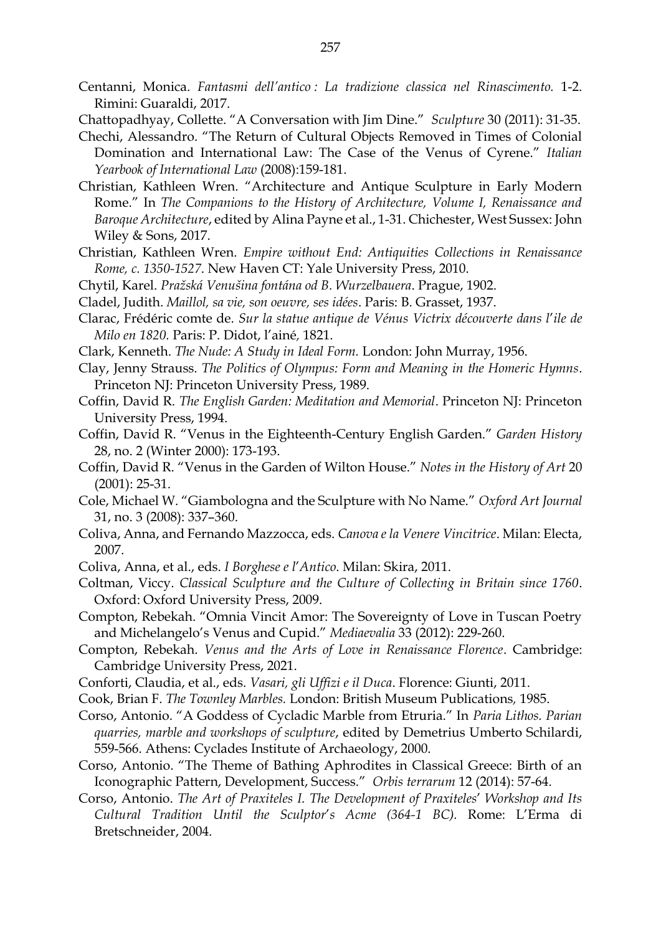- Centanni, Monica. *Fantasmi dell'antico : La tradizione classica nel Rinascimento.* 1-2. Rimini: Guaraldi, 2017.
- Chattopadhyay, Collette. "A Conversation with Jim Dine." *Sculpture* 30 (2011): 31-35.
- Chechi, Alessandro. "The Return of Cultural Objects Removed in Times of Colonial Domination and International Law: The Case of the Venus of Cyrene." *Italian Yearbook of International Law* (2008):159-181.
- Christian, Kathleen Wren. "Architecture and Antique Sculpture in Early Modern Rome." In *The Companions to the History of Architecture, Volume I, Renaissance and Baroque Architecture*, edited by Alina Payne et al., 1-31. Chichester, West Sussex: John Wiley & Sons, 2017.
- Christian, Kathleen Wren. *Empire without End: Antiquities Collections in Renaissance Rome, c. 1350-1527*. New Haven CT: Yale University Press, 2010.
- Chytil, Karel. *Pražská Venušina fontána od B. Wurzelbauera*. Prague, 1902.
- Cladel, Judith. *Maillol, sa vie, son oeuvre, ses idées*. Paris: B. Grasset, 1937.
- Clarac, Frédéric comte de. *Sur la statue antique de Vénus Victrix découverte dans l*'*ile de Milo en 1820.* Paris: P. Didot, l'ainé*,* 1821.
- Clark, Kenneth. *The Nude: A Study in Ideal Form.* London: John Murray, 1956.
- Clay, Jenny Strauss. *The Politics of Olympus: Form and Meaning in the Homeric Hymns*. Princeton NJ: Princeton University Press, 1989.
- Coffin, David R. *The English Garden: Meditation and Memorial*. Princeton NJ: Princeton University Press, 1994.
- Coffin, David R. "Venus in the Eighteenth-Century English Garden." *Garden History* 28, no. 2 (Winter 2000): 173-193.
- Coffin, David R. "Venus in the Garden of Wilton House." *Notes in the History of Art* 20 (2001): 25-31.
- Cole, Michael W. "Giambologna and the Sculpture with No Name." *Oxford Art Journal* 31, no. 3 (2008): 337–360.
- Coliva, Anna, and Fernando Mazzocca, eds. *Canova e la Venere Vincitrice*. Milan: Electa, 2007.
- Coliva, Anna, et al., eds. *I Borghese e l*'*Antico*. Milan: Skira, 2011.
- Coltman, Viccy. *Classical Sculpture and the Culture of Collecting in Britain since 1760*. Oxford: Oxford University Press, 2009.
- Compton, Rebekah. "Omnia Vincit Amor: The Sovereignty of Love in Tuscan Poetry and Michelangelo's Venus and Cupid." *Mediaevalia* 33 (2012): 229-260.
- Compton, Rebekah. *Venus and the Arts of Love in Renaissance Florence*. Cambridge: Cambridge University Press, 2021.
- Conforti, Claudia, et al., eds. *Vasari, gli Uffizi e il Duca*. Florence: Giunti, 2011.
- Cook, Brian F. *The Townley Marbles.* London: British Museum Publications*,* 1985.
- Corso, Antonio. "A Goddess of Cycladic Marble from Etruria." In *Paria Lithos. Parian quarries, marble and workshops of sculpture*, edited by Demetrius Umberto Schilardi, 559-566. Athens: Cyclades Institute of Archaeology, 2000.
- Corso, Antonio. "The Theme of Bathing Aphrodites in Classical Greece: Birth of an Iconographic Pattern, Development, Success." *Orbis terrarum* 12 (2014): 57-64.
- Corso, Antonio. *The Art of Praxiteles I. The Development of Praxiteles*' *Workshop and Its Cultural Tradition Until the Sculptor*'*s Acme (364-1 BC).* Rome: L'Erma di Bretschneider, 2004.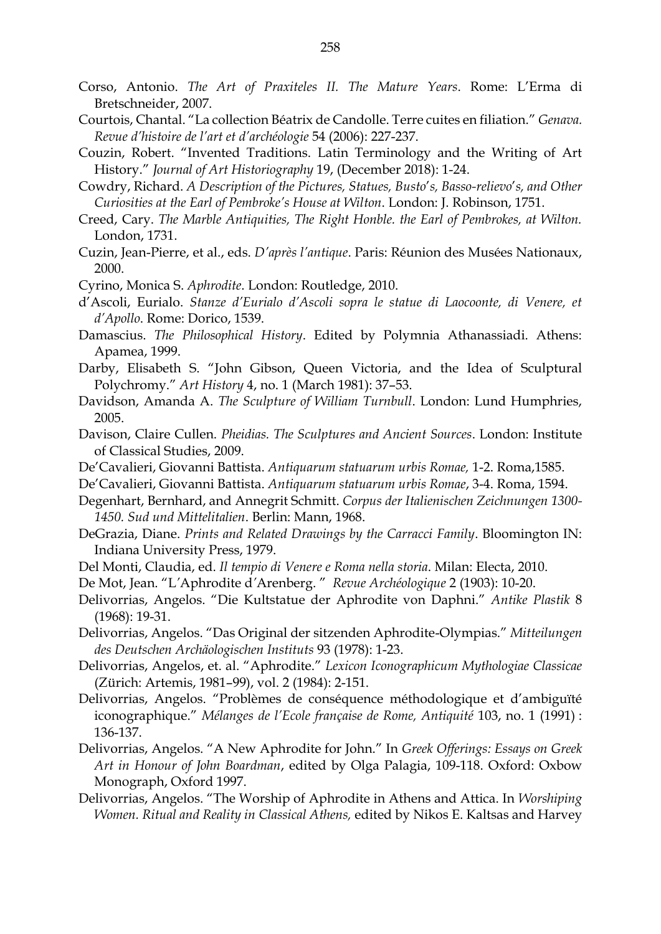- Corso, Antonio. *The Art of Praxiteles II. The Mature Years*. Rome: L'Erma di Bretschneider, 2007.
- Courtois, Chantal. "La collection Béatrix de Candolle. Terre cuites en filiation." *Genava. Revue d'histoire de l'art et d'archéologie* 54 (2006): 227-237.
- Couzin, Robert. "Invented Traditions. Latin Terminology and the Writing of Art History." *Journal of Art Historiography* 19, (December 2018): 1-24.
- Cowdry, Richard. *A Description of the Pictures, Statues, Busto*'*s, Basso-relievo*'*s, and Other Curiosities at the Earl of Pembroke's House at Wilton*. London: J. Robinson, 1751.
- Creed, Cary. *The Marble Antiquities, The Right Honble. the Earl of Pembrokes, at Wilton.*  London, 1731.
- Cuzin, Jean-Pierre, et al., eds. *D'après l'antique*. Paris: Réunion des Musées Nationaux, 2000.
- Cyrino, Monica S. *Aphrodite*. London: Routledge, 2010.
- d'Ascoli, Eurialo. *Stanze d'Eurialo d'Ascoli sopra le statue di Laocoonte, di Venere, et d'Apollo*. Rome: Dorico, 1539.
- Damascius. *The Philosophical History*. Edited by Polymnia Athanassiadi. Athens: Apamea, 1999.
- Darby, Elisabeth S. "John Gibson, Queen Victoria, and the Idea of Sculptural Polychromy." *Art History* 4, no. 1 (March 1981): 37–53.
- Davidson, Amanda A. *The Sculpture of William Turnbull*. London: Lund Humphries, 2005.
- Davison, Claire Cullen. *Pheidias. The Sculptures and Ancient Sources*. London: Institute of Classical Studies, 2009.
- De'Cavalieri, Giovanni Battista. *Antiquarum statuarum urbis Romae,* 1-2. Roma,1585.
- De'Cavalieri, Giovanni Battista. *Antiquarum statuarum urbis Romae*, 3-4. Roma, 1594.
- Degenhart, Bernhard, and Annegrit Schmitt. *Corpus der Italienischen Zeichnungen 1300- 1450. Sud und Mittelitalien*. Berlin: Mann, 1968.
- DeGrazia, Diane. *Prints and Related Drawings by the Carracci Family*. Bloomington IN: Indiana University Press, 1979.
- Del Monti, Claudia, ed. *Il tempio di Venere e Roma nella storia*. Milan: Electa, 2010.
- De Mot, Jean. "L*'*Aphrodite d*'*Arenberg. " *Revue Archéologique* 2 (1903): 10-20.
- Delivorrias, Angelos. "Die Kultstatue der Aphrodite von Daphni." *Antike Plastik* 8 (1968): 19-31.
- Delivorrias, Angelos. "Das Original der sitzenden Aphrodite-Olympias." *Mitteilungen des Deutschen Archäologischen Instituts* 93 (1978): 1-23.
- Delivorrias, Angelos, et. al. "Aphrodite." *Lexicon Iconographicum Mythologiae Classicae*  (Zürich: Artemis, 1981–99), vol. 2 (1984): 2-151.
- Delivorrias, Angelos. "Problèmes de conséquence méthodologique et d'ambiguïté iconographique." *Mélanges de l'Ecole française de Rome, Antiquité* 103, no. 1 (1991) : 136-137.
- Delivorrias, Angelos. "A New Aphrodite for John." In *Greek Offerings: Essays on Greek Art in Honour of John Boardman*, edited by Olga Palagia, 109-118. Oxford: Oxbow Monograph, Oxford 1997.
- Delivorrias, Angelos. "The Worship of Aphrodite in Athens and Attica. In *Worshiping Women. Ritual and Reality in Classical Athens,* edited by Nikos E. Kaltsas and Harvey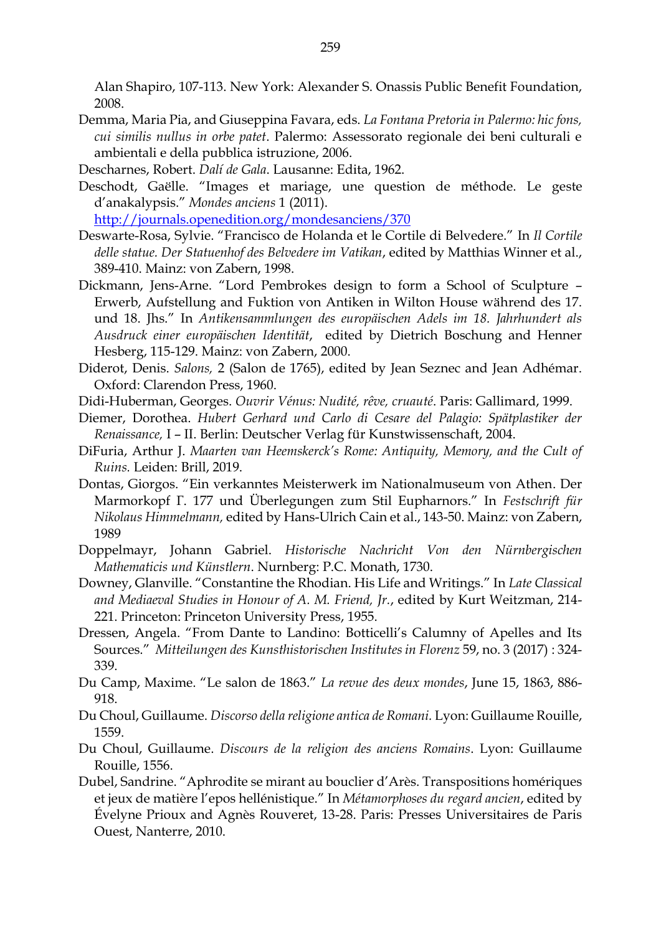Alan Shapiro, 107-113. New York: Alexander S. Onassis Public Benefit Foundation, 2008.

- Demma, Maria Pia, and Giuseppina Favara, eds. *La Fontana Pretoria in Palermo: hic fons, cui similis nullus in orbe patet*. Palermo: Assessorato regionale dei beni culturali e ambientali e della pubblica istruzione, 2006.
- Descharnes, Robert. *Dalí de Gala*. Lausanne: Edita, 1962.
- Deschodt, Gaëlle. "Images et mariage, une question de méthode. Le geste d'anakalypsis." *Mondes anciens* 1 (2011).

<http://journals.openedition.org/mondesanciens/370>

- Deswarte-Rosa, Sylvie. "Francisco de Holanda et le Cortile di Belvedere." In *Il Cortile delle statue. Der Statuenhof des Belvedere im Vatikan*, edited by Matthias Winner et al., 389-410. Mainz: von Zabern, 1998.
- Dickmann, Jens-Arne. "Lord Pembrokes design to form a School of Sculpture Erwerb, Aufstellung and Fuktion von Antiken in Wilton House während des 17. und 18. Jhs." In *Antikensammlungen des europäischen Adels im 18. Jahrhundert als Ausdruck einer europäischen Identität*, edited by Dietrich Boschung and Henner Hesberg, 115-129. Mainz: von Zabern, 2000.
- Diderot, Denis. *Salons,* 2 (Salon de 1765), edited by Jean Seznec and Jean Adhémar. Oxford: Clarendon Press, 1960.
- Didi-Huberman, Georges. *Ouvrir Vénus: Nudité, rêve, cruauté*. Paris: Gallimard, 1999.
- Diemer, Dorothea. *Hubert Gerhard und Carlo di Cesare del Palagio: Spätplastiker der Renaissance,* I – II. Berlin: Deutscher Verlag für Kunstwissenschaft, 2004.
- DiFuria, Arthur J. *Maarten van Heemskerck's Rome: Antiquity, Memory, and the Cult of Ruins.* Leiden: Brill, 2019.
- Dontas, Giorgos. "Ein verkanntes Meisterwerk im Nationalmuseum von Athen. Der Marmorkopf Γ. 177 und Überlegungen zum Stil Eupharnors." In *Festschrift für Nikolaus Himmelmann,* edited by Hans-Ulrich Cain et al., 143-50. Mainz: von Zabern, 1989
- Doppelmayr, Johann Gabriel. *Historische Nachricht Von den Nürnbergischen Mathematicis und Künstlern*. Nurnberg: P.C. Monath, 1730.
- Downey, Glanville. "Constantine the Rhodian. His Life and Writings." In *Late Classical and Mediaeval Studies in Honour of A. M. Friend, Jr.*, edited by Kurt Weitzman, 214- 221. Princeton: Princeton University Press, 1955.
- Dressen, Angela. "From Dante to Landino: Botticelli's Calumny of Apelles and Its Sources." *Mitteilungen des Kunsthistorischen Institutes in Florenz* 59, no. 3 (2017) : 324- 339.
- Du Camp, Maxime. "Le salon de 1863." *La revue des deux mondes*, June 15, 1863, 886- 918.
- Du Choul, Guillaume. *Discorso della religione antica de Romani.* Lyon: Guillaume Rouille, 1559.
- Du Choul, Guillaume. *Discours de la religion des anciens Romains*. Lyon: Guillaume Rouille, 1556.
- Dubel, Sandrine. "Aphrodite se mirant au bouclier d'Arès. Transpositions homériques et jeux de matière l'epos hellénistique." In *Métamorphoses du regard ancien*, edited by Évelyne Prioux and Agnès Rouveret, 13-28. Paris: Presses Universitaires de Paris Ouest, Nanterre, 2010.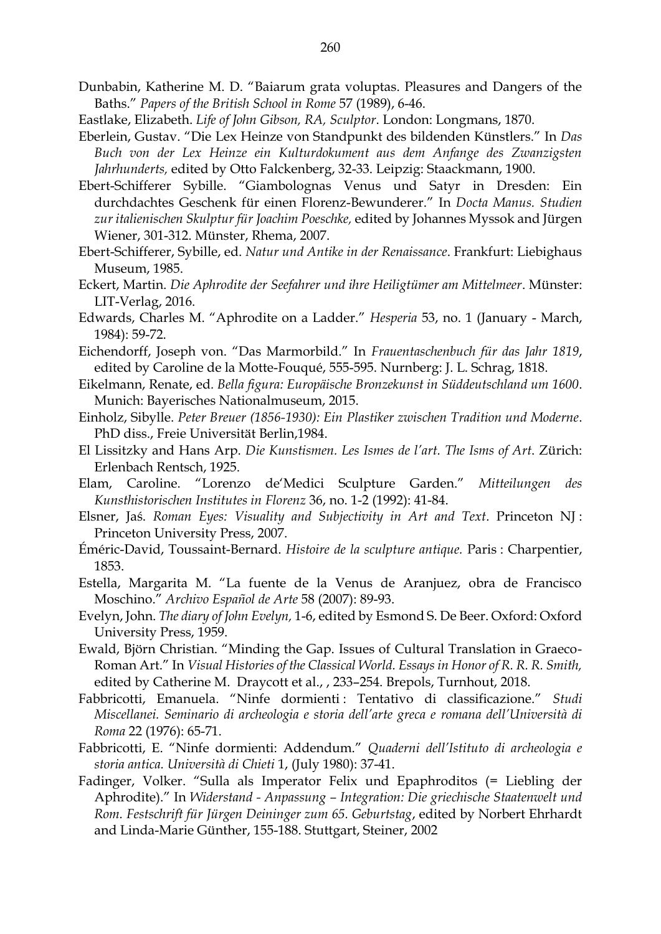- Dunbabin, Katherine M. D. "Baiarum grata voluptas. Pleasures and Dangers of the Baths." *Papers of the British School in Rome* 57 (1989), 6-46.
- Eastlake, Elizabeth. *Life of John Gibson, RA, Sculptor*. London: Longmans, 1870.
- Eberlein, Gustav. "Die Lex Heinze von Standpunkt des bildenden Künstlers." In *Das Buch von der Lex Heinze ein Kulturdokument aus dem Anfange des Zwanzigsten Jahrhunderts,* edited by Otto Falckenberg, 32-33. Leipzig: Staackmann, 1900.
- Ebert-Schifferer Sybille. "Giambolognas Venus und Satyr in Dresden: Ein durchdachtes Geschenk für einen Florenz-Bewunderer." In *Docta Manus. Studien zur italienischen Skulptur für Joachim Poeschke,* edited by Johannes Myssok and Jürgen Wiener, 301-312. Münster, Rhema, 2007.
- Ebert-Schifferer, Sybille, ed. *Natur und Antike in der Renaissance*. Frankfurt: Liebighaus Museum, 1985.
- Eckert, Martin. *Die Aphrodite der Seefahrer und ihre Heiligtümer am Mittelmeer*. Münster: LIT-Verlag, 2016.
- Edwards, Charles M. "Aphrodite on a Ladder." *Hesperia* 53, no. 1 (January March, 1984): 59-72.
- Eichendorff, Joseph von. "Das Marmorbild." In *Frauentaschenbuch für das Jahr 1819*, edited by Caroline de la Motte-Fouqué, 555-595. Nurnberg: J. L. Schrag, 1818.
- Eikelmann, Renate, ed*. Bella figura: Europäische Bronzekunst in Süddeutschland um 1600*. Munich: Bayerisches Nationalmuseum, 2015.
- Einholz, Sibylle. *Peter Breuer (1856-1930): Ein Plastiker zwischen Tradition und Moderne*. PhD diss., Freie Universität Berlin,1984.
- El Lissitzky and Hans Arp. *Die Kunstismen. Les Ismes de l'art. The Isms of Art*. Zürich: Erlenbach Rentsch, 1925.
- Elam, Caroline. "Lorenzo de'Medici Sculpture Garden." *Mitteilungen des Kunsthistorischen Institutes in Florenz* 36, no. 1-2 (1992): 41-84.
- Elsner, Jaś. *Roman Eyes: Visuality and Subjectivity in Art and Text*. Princeton NJ : Princeton University Press, 2007.
- Éméric-David, Toussaint-Bernard. *Histoire de la sculpture antique.* Paris : Charpentier, 1853.
- Estella, Margarita M. "La fuente de la Venus de Aranjuez, obra de Francisco Moschino." *Archivo Español de Arte* 58 (2007): 89-93.
- Evelyn, John. *The diary of John Evelyn,* 1-6, edited by Esmond S. De Beer. Oxford: Oxford University Press, 1959.
- Ewald, Björn Christian. "Minding the Gap. Issues of Cultural Translation in Graeco-Roman Art." In *Visual Histories of the Classical World. Essays in Honor of R. R. R. Smith,* edited by Catherine M. Draycott et al., , 233–254. Brepols, Turnhout, 2018.
- Fabbricotti, Emanuela. "Ninfe dormienti : Tentativo di classificazione." *Studi Miscellanei. Seminario di archeologia e storia dell'arte greca e romana dell'Università di Roma* 22 (1976): 65-71.
- Fabbricotti, E. "Ninfe dormienti: Addendum." *Quaderni dell'Istituto di archeologia e storia antica. Università di Chieti* 1, (July 1980): 37-41.
- Fadinger, Volker. "Sulla als Imperator Felix und Epaphroditos (= Liebling der Aphrodite)." In *Widerstand - Anpassung – Integration: Die griechische Staatenwelt und Rom. Festschrift für Jürgen Deininger zum 65. Geburtstag*, edited by Norbert Ehrhardt and Linda-Marie Günther, 155-188. Stuttgart, Steiner, 2002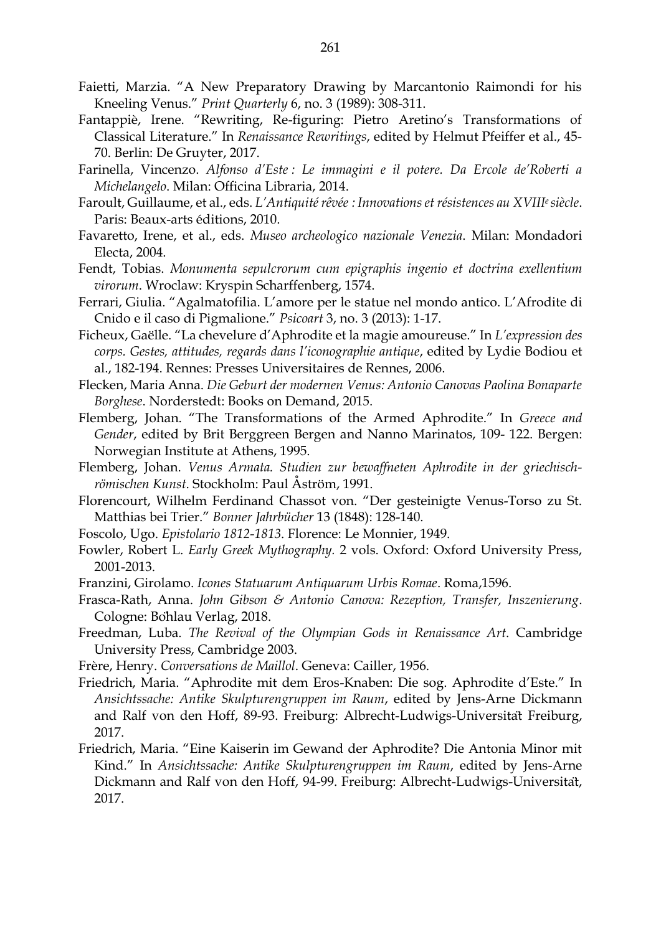- Faietti, Marzia. "A New Preparatory Drawing by Marcantonio Raimondi for his Kneeling Venus." *Print Quarterly* 6, no. 3 (1989): 308-311.
- Fantappiè, Irene. "Rewriting, Re-figuring: Pietro Aretino's Transformations of Classical Literature." In *Renaissance Rewritings*, edited by Helmut Pfeiffer et al., 45- 70. Berlin: De Gruyter, 2017.
- Farinella, Vincenzo. *Alfonso d'Este : Le immagini e il potere. Da Ercole de'Roberti a Michelangelo*. Milan: Officina Libraria, 2014.
- Faroult, Guillaume, et al., eds. *L'Antiquité rêvée : Innovations et résistences au XVIIIe siècle*. Paris: Beaux-arts éditions, 2010.
- Favaretto, Irene, et al., eds. *Museo archeologico nazionale Venezia*. Milan: Mondadori Electa, 2004.
- Fendt, Tobias. *Monumenta sepulcrorum cum epigraphis ingenio et doctrina exellentium virorum*. Wroclaw: Kryspin Scharffenberg, 1574.
- Ferrari, Giulia. "Agalmatofilia. L'amore per le statue nel mondo antico. L'Afrodite di Cnido e il caso di Pigmalione." *Psicoart* 3, no. 3 (2013): 1-17.
- Ficheux, Gaëlle. "La chevelure d'Aphrodite et la magie amoureuse." In *L'expression des corps. Gestes, attitudes, regards dans l'iconographie antique*, edited by Lydie Bodiou et al., 182-194. Rennes: Presses Universitaires de Rennes, 2006.
- Flecken, Maria Anna. *Die Geburt der modernen Venus: Antonio Canovas Paolina Bonaparte Borghese*. Norderstedt: Books on Demand, 2015.
- Flemberg, Johan. "The Transformations of the Armed Aphrodite." In *Greece and Gender*, edited by Brit Berggreen Bergen and Nanno Marinatos, 109- 122. Bergen: Norwegian Institute at Athens, 1995.
- Flemberg, Johan. *Venus Armata. Studien zur bewaffneten Aphrodite in der griechischrömischen Kunst*. Stockholm: Paul Åström, 1991.
- Florencourt, Wilhelm Ferdinand Chassot von. "Der gesteinigte Venus-Torso zu St. Matthias bei Trier." *Bonner Jahrbücher* 13 (1848): 128-140.
- Foscolo, Ugo. *Epistolario 1812-1813*. Florence: Le Monnier, 1949.
- Fowler, Robert L. *Early Greek Mythography.* 2 vols. Oxford: Oxford University Press, 2001-2013.
- Franzini, Girolamo. *Icones Statuarum Antiquarum Urbis Romae*. Roma,1596.
- Frasca-Rath, Anna. *John Gibson & Antonio Canova: Rezeption, Transfer, Inszenierung*. Cologne: Böhlau Verlag, 2018.
- Freedman, Luba. *The Revival of the Olympian Gods in Renaissance Art*. Cambridge University Press, Cambridge 2003.
- Frère, Henry. *Conversations de Maillol*. Geneva: Cailler, 1956.
- Friedrich, Maria. "Aphrodite mit dem Eros-Knaben: Die sog. Aphrodite d'Este." In *Ansichtssache: Antike Skulpturengruppen im Raum*, edited by Jens-Arne Dickmann and Ralf von den Hoff, 89-93. Freiburg: Albrecht-Ludwigs-Universität Freiburg, 2017.
- Friedrich, Maria. "Eine Kaiserin im Gewand der Aphrodite? Die Antonia Minor mit Kind." In *Ansichtssache: Antike Skulpturengruppen im Raum*, edited by Jens-Arne Dickmann and Ralf von den Hoff, 94-99. Freiburg: Albrecht-Ludwigs-Universität, 2017.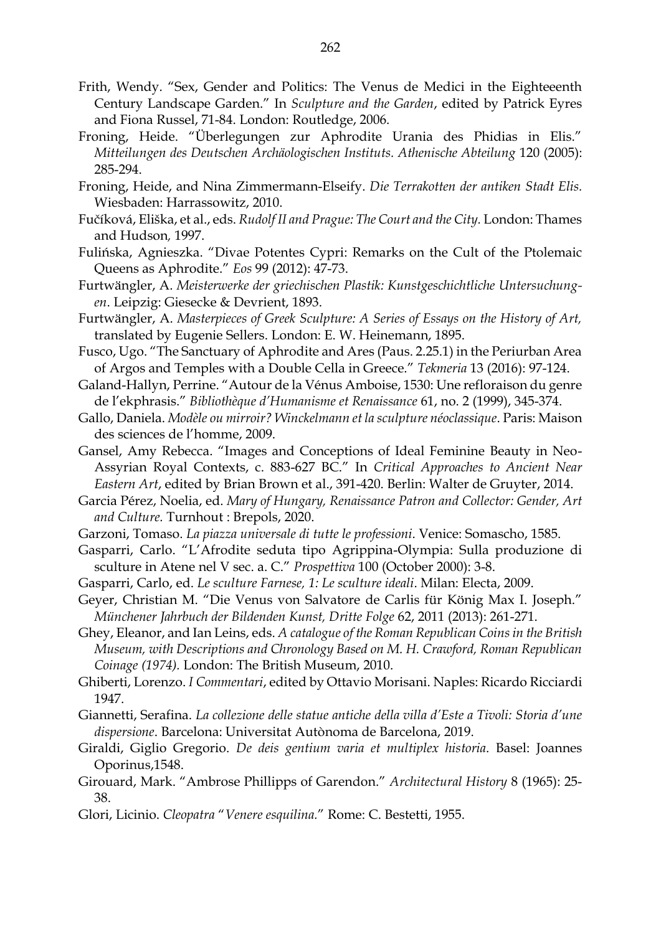- Frith, Wendy. "Sex, Gender and Politics: The Venus de Medici in the Eighteeenth Century Landscape Garden." In *Sculpture and the Garden*, edited by Patrick Eyres and Fiona Russel, 71-84. London: Routledge, 2006.
- Froning, Heide. "Überlegungen zur Aphrodite Urania des Phidias in Elis." *Mitteilungen des Deutschen Archäologischen Instituts. Athenische Abteilung* 120 (2005): 285-294.
- Froning, Heide, and Nina Zimmermann-Elseify. *Die Terrakotten der antiken Stadt Elis.* Wiesbaden: Harrassowitz, 2010.
- Fučíková, Eliška, et al., eds. *Rudolf II and Prague: The Court and the City.* London: Thames and Hudson*,* 1997.
- Fulińska, Agnieszka. "Divae Potentes Cypri: Remarks on the Cult of the Ptolemaic Queens as Aphrodite." *Eos* 99 (2012): 47-73.
- Furtwängler, A. *Meisterwerke der griechischen Plastik: Kunstgeschichtliche Untersuchungen*. Leipzig: Giesecke & Devrient, 1893.
- Furtwängler, A. *Masterpieces of Greek Sculpture: A Series of Essays on the History of Art,*  translated by Eugenie Sellers. London: E. W. Heinemann, 1895.
- Fusco, Ugo. "The Sanctuary of Aphrodite and Ares (Paus. 2.25.1) in the Periurban Area of Argos and Temples with a Double Cella in Greece." *Tekmeria* 13 (2016): 97-124.
- Galand-Hallyn, Perrine. "Autour de la Vénus Amboise, 1530: Une refloraison du genre de l'ekphrasis." *Bibliothèque d'Humanisme et Renaissance* 61, no. 2 (1999), 345-374.
- Gallo, Daniela. *Modèle ou mirroir? Winckelmann et la sculpture néoclassique*. Paris: Maison des sciences de l'homme, 2009.
- Gansel, Amy Rebecca. "Images and Conceptions of Ideal Feminine Beauty in Neo-Assyrian Royal Contexts, c. 883-627 BC." In *Critical Approaches to Ancient Near Eastern Art*, edited by Brian Brown et al., 391-420. Berlin: Walter de Gruyter, 2014.
- Garcia Pérez, Noelia, ed. *Mary of Hungary, Renaissance Patron and Collector: Gender, Art and Culture.* Turnhout : Brepols, 2020.
- Garzoni, Tomaso. *La piazza universale di tutte le professioni*. Venice: Somascho, 1585.
- Gasparri, Carlo. "L'Afrodite seduta tipo Agrippina-Olympia: Sulla produzione di sculture in Atene nel V sec. a. C." *Prospettiva* 100 (October 2000): 3-8.
- Gasparri, Carlo, ed. *Le sculture Farnese, 1: Le sculture ideali*. Milan: Electa, 2009.
- Geyer, Christian M. "Die Venus von Salvatore de Carlis für König Max I. Joseph." *Münchener Jahrbuch der Bildenden Kunst, Dritte Folge* 62, 2011 (2013): 261-271.
- Ghey, Eleanor, and Ian Leins, eds. *A catalogue of the Roman Republican Coins in the British Museum, with Descriptions and Chronology Based on M. H. Crawford, Roman Republican Coinage (1974).* London: The British Museum, 2010.
- Ghiberti, Lorenzo. *I Commentari*, edited by Ottavio Morisani. Naples: Ricardo Ricciardi 1947.
- Giannetti, Serafina. *La collezione delle statue antiche della villa d'Este a Tivoli: Storia d'une dispersione*. Barcelona: Universitat Autònoma de Barcelona, 2019.
- Giraldi, Giglio Gregorio. *De deis gentium varia et multiplex historia*. Basel: Joannes Oporinus,1548.
- Girouard, Mark. "Ambrose Phillipps of Garendon." *Architectural History* 8 (1965): 25- 38.
- Glori, Licinio. *Cleopatra* "*Venere esquilina.*" Rome: C. Bestetti, 1955.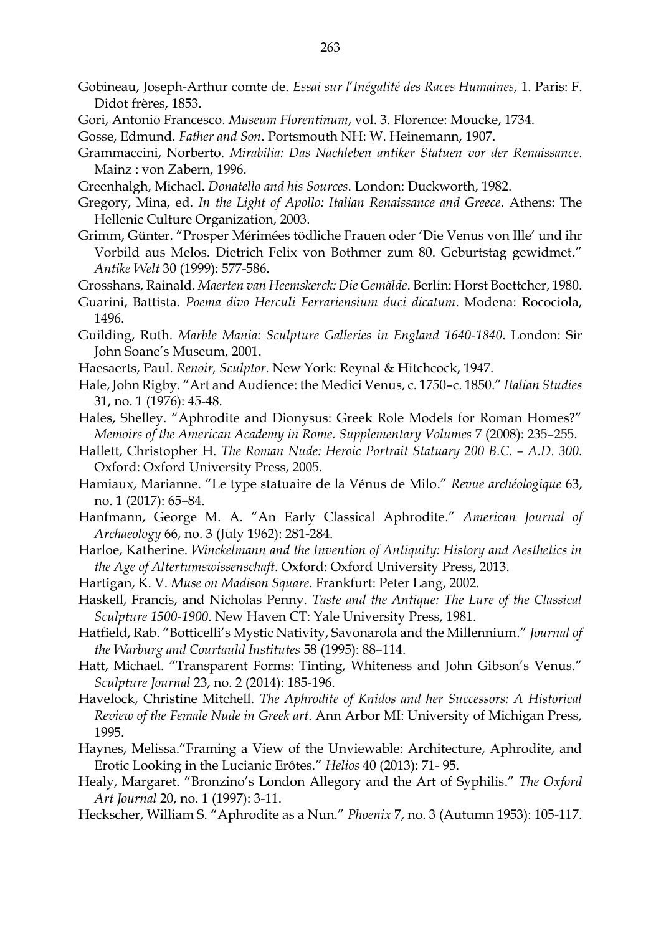- Gobineau, Joseph-Arthur comte de. *Essai sur l*'*Inégalité des Races Humaines,* 1. Paris: F. Didot frères, 1853.
- Gori, Antonio Francesco. *Museum Florentinum*, vol. 3. Florence: Moucke, 1734.

- Grammaccini, Norberto. *Mirabilia: Das Nachleben antiker Statuen vor der Renaissance*. Mainz : von Zabern, 1996.
- Greenhalgh, Michael. *Donatello and his Sources*. London: Duckworth, 1982.
- Gregory, Mina, ed. *In the Light of Apollo: Italian Renaissance and Greece*. Athens: The Hellenic Culture Organization, 2003.
- Grimm, Günter. "Prosper Mérimées tödliche Frauen oder 'Die Venus von Ille' und ihr Vorbild aus Melos. Dietrich Felix von Bothmer zum 80. Geburtstag gewidmet*.*" *Antike Welt* 30 (1999): 577-586.
- Grosshans, Rainald. *Maerten van Heemskerck: Die Gemälde*. Berlin: Horst Boettcher, 1980.
- Guarini, Battista. *Poema divo Herculi Ferrariensium duci dicatum*. Modena: Rocociola, 1496.
- Guilding, Ruth. *Marble Mania: Sculpture Galleries in England 1640-1840*. London: Sir John Soane's Museum, 2001.
- Haesaerts, Paul. *Renoir, Sculptor*. New York: Reynal & Hitchcock, 1947.
- Hale, John Rigby. "Art and Audience: the Medici Venus, c. 1750–c. 1850." *Italian Studies* 31, no. 1 (1976): 45-48.
- Hales, Shelley. "Aphrodite and Dionysus: Greek Role Models for Roman Homes?" *Memoirs of the American Academy in Rome. Supplementary Volumes* 7 (2008): 235–255.
- Hallett, Christopher H. *The Roman Nude: Heroic Portrait Statuary 200 B.C. A.D.* 300. Oxford: Oxford University Press, 2005.
- Hamiaux, Marianne. "Le type statuaire de la Vénus de Milo." *Revue archéologique* 63, no. 1 (2017): 65–84.
- Hanfmann, George M. A. "An Early Classical Aphrodite." *American Journal of Archaeology* 66, no. 3 (July 1962): 281-284.
- Harloe, Katherine. *Winckelmann and the Invention of Antiquity: History and Aesthetics in the Age of Altertumswissenschaft*. Oxford: Oxford University Press, 2013.
- Hartigan, K. V. *Muse on Madison Square*. Frankfurt: Peter Lang, 2002.
- Haskell, Francis, and Nicholas Penny. *Taste and the Antique: The Lure of the Classical Sculpture 1500-1900*. New Haven CT: Yale University Press, 1981.
- Hatfield, Rab. "Botticelli's Mystic Nativity, Savonarola and the Millennium." *Journal of the Warburg and Courtauld Institutes* 58 (1995): 88–114.
- Hatt, Michael. "Transparent Forms: Tinting, Whiteness and John Gibson's Venus." *Sculpture Journal* 23, no. 2 (2014): 185-196.
- Havelock, Christine Mitchell. *The Aphrodite of Knidos and her Successors: A Historical Review of the Female Nude in Greek art*. Ann Arbor MI: University of Michigan Press, 1995.
- Haynes, Melissa."Framing a View of the Unviewable: Architecture, Aphrodite, and Erotic Looking in the Lucianic Erôtes." *Helios* 40 (2013): 71- 95.
- Healy, Margaret. "Bronzino's London Allegory and the Art of Syphilis." *The Oxford Art Journal* 20, no. 1 (1997): 3-11.
- Heckscher, William S. "Aphrodite as a Nun." *Phoenix* 7, no. 3 (Autumn 1953): 105-117.

Gosse, Edmund. *Father and Son*. Portsmouth NH: W. Heinemann, 1907.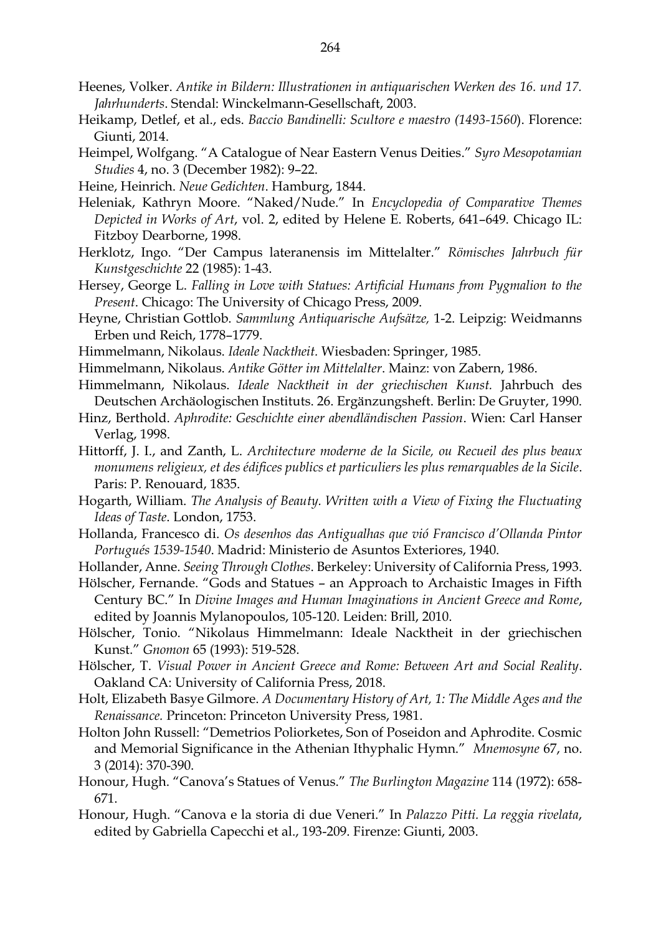- Heenes, Volker. *Antike in Bildern: Illustrationen in antiquarischen Werken des 16. und 17. Jahrhunderts*. Stendal: Winckelmann-Gesellschaft, 2003.
- Heikamp, Detlef, et al., eds. *Baccio Bandinelli: Scultore e maestro (1493-1560*). Florence: Giunti, 2014.
- Heimpel, Wolfgang. "A Catalogue of Near Eastern Venus Deities." *Syro Mesopotamian Studies* 4, no. 3 (December 1982): 9–22.
- Heine, Heinrich. *Neue Gedichten*. Hamburg, 1844.
- Heleniak, Kathryn Moore. "Naked/Nude." In *Encyclopedia of Comparative Themes Depicted in Works of Art*, vol. 2, edited by Helene E. Roberts, 641–649. Chicago IL: Fitzboy Dearborne, 1998.
- Herklotz, Ingo. "Der Campus lateranensis im Mittelalter." *Römisches Jahrbuch für Kunstgeschichte* 22 (1985): 1-43.
- Hersey, George L. *Falling in Love with Statues: Artificial Humans from Pygmalion to the Present*. Chicago: The University of Chicago Press, 2009.
- Heyne, Christian Gottlob. *Sammlung Antiquarische Aufsätze,* 1-2. Leipzig: Weidmanns Erben und Reich, 1778–1779.
- Himmelmann, Nikolaus. *Ideale Nacktheit.* Wiesbaden: Springer, 1985.
- Himmelmann, Nikolaus. *Antike Götter im Mittelalter*. Mainz: von Zabern, 1986.
- Himmelmann, Nikolaus. *Ideale Nacktheit in der griechischen Kunst.* Jahrbuch des Deutschen Archäologischen Instituts. 26. Ergänzungsheft. Berlin: De Gruyter, 1990.
- Hinz, Berthold. *Aphrodite: Geschichte einer abendländischen Passion*. Wien: Carl Hanser Verlag, 1998.
- Hittorff, J. I., and Zanth, L. *Architecture moderne de la Sicile, ou Recueil des plus beaux monumens religieux, et des édifices publics et particuliers les plus remarquables de la Sicile*. Paris: P. Renouard, 1835.
- Hogarth, William. *The Analysis of Beauty. Written with a View of Fixing the Fluctuating Ideas of Taste*. London, 1753.
- Hollanda, Francesco di. *Os desenhos das Antigualhas que vió Francisco d'Ollanda Pintor Portugués 1539-1540*. Madrid: Ministerio de Asuntos Exteriores, 1940.
- Hollander, Anne. *Seeing Through Clothes*. Berkeley: University of California Press, 1993.
- Hölscher, Fernande. "Gods and Statues an Approach to Archaistic Images in Fifth Century BC." In *Divine Images and Human Imaginations in Ancient Greece and Rome*, edited by Joannis Mylanopoulos, 105-120. Leiden: Brill, 2010.
- Hölscher, Tonio. "Nikolaus Himmelmann: Ideale Nacktheit in der griechischen Kunst." *Gnomon* 65 (1993): 519-528.
- Hölscher, T. *Visual Power in Ancient Greece and Rome: Between Art and Social Reality*. Oakland CA: University of California Press, 2018.
- Holt, Elizabeth Basye Gilmore. *A Documentary History of Art, 1: The Middle Ages and the Renaissance.* Princeton: Princeton University Press, 1981.
- Holton John Russell: "Demetrios Poliorketes, Son of Poseidon and Aphrodite. Cosmic and Memorial Significance in the Athenian Ithyphalic Hymn." *Mnemosyne* 67, no. 3 (2014): 370-390.
- Honour, Hugh. "Canova's Statues of Venus." *The Burlington Magazine* 114 (1972): 658- 671.
- Honour, Hugh. "Canova e la storia di due Veneri." In *Palazzo Pitti. La reggia rivelata*, edited by Gabriella Capecchi et al., 193-209. Firenze: Giunti, 2003.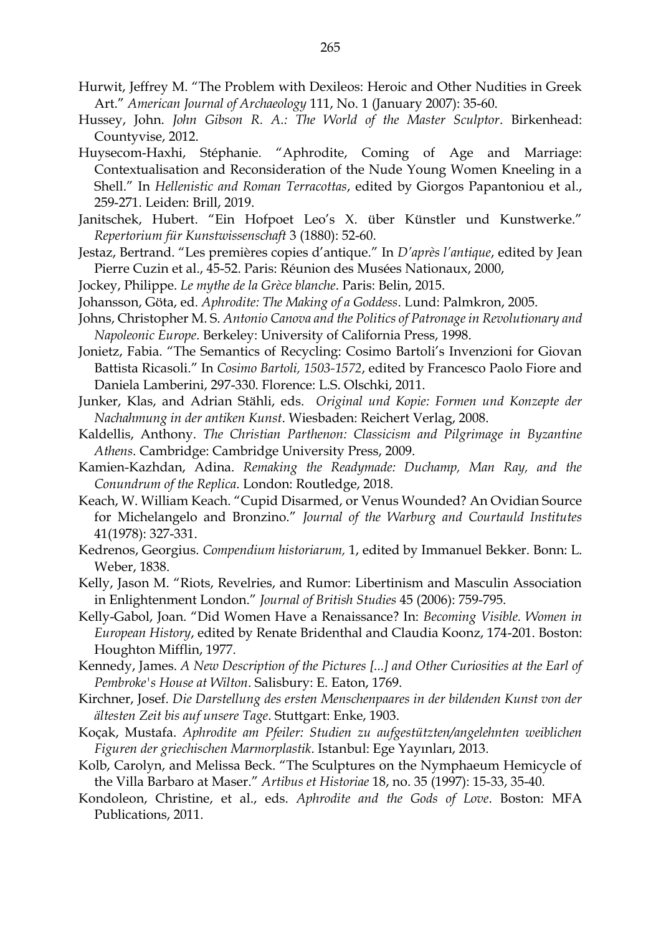- Hurwit, Jeffrey M. "The Problem with Dexileos: Heroic and Other Nudities in Greek Art." *American Journal of Archaeology* 111, No. 1 (January 2007): 35-60.
- Hussey, John. *John Gibson R. A.: The World of the Master Sculptor*. Birkenhead: Countyvise, 2012.
- Huysecom-Haxhi, Stéphanie. "Aphrodite, Coming of Age and Marriage: Contextualisation and Reconsideration of the Nude Young Women Kneeling in a Shell." In *Hellenistic and Roman Terracottas*, edited by Giorgos Papantoniou et al., 259-271. Leiden: Brill, 2019.
- Janitschek, Hubert. "Ein Hofpoet Leo's X. über Künstler und Kunstwerke." *Repertorium für Kunstwissenschaft* 3 (1880): 52-60.
- Jestaz, Bertrand. "Les premières copies d'antique." In *D'après l'antique*, edited by Jean Pierre Cuzin et al., 45-52. Paris: Réunion des Musées Nationaux, 2000,
- Jockey, Philippe. *Le mythe de la Grèce blanche*. Paris: Belin, 2015.
- Johansson, Göta, ed. *Aphrodite: The Making of a Goddess*. Lund: Palmkron, 2005.
- Johns, Christopher M. S. *Antonio Canova and the Politics of Patronage in Revolutionary and Napoleonic Europe*. Berkeley: University of California Press, 1998.
- Jonietz, Fabia. "The Semantics of Recycling: Cosimo Bartoli's Invenzioni for Giovan Battista Ricasoli." In *Cosimo Bartoli, 1503-1572*, edited by Francesco Paolo Fiore and Daniela Lamberini, 297-330. Florence: L.S. Olschki, 2011.
- Junker, Klas, and Adrian Stähli, eds. *Original und Kopie: Formen und Konzepte der Nachahmung in der antiken Kunst*. Wiesbaden: Reichert Verlag, 2008.
- Kaldellis, Anthony. *The Christian Parthenon: Classicism and Pilgrimage in Byzantine Athens*. Cambridge: Cambridge University Press, 2009.
- Kamien-Kazhdan, Adina. *Remaking the Readymade: Duchamp, Man Ray, and the Conundrum of the Replica*. London: Routledge, 2018.
- Keach, W. William Keach. "Cupid Disarmed, or Venus Wounded? An Ovidian Source for Michelangelo and Bronzino." *Journal of the Warburg and Courtauld Institutes* 41(1978): 327-331.
- Kedrenos, Georgius. *Compendium historiarum,* 1, edited by Immanuel Bekker. Bonn: L. Weber, 1838.
- Kelly, Jason M. "Riots, Revelries, and Rumor: Libertinism and Masculin Association in Enlightenment London." *Journal of British Studies* 45 (2006): 759-795.
- Kelly-Gabol, Joan. "Did Women Have a Renaissance? In: *Becoming Visible. Women in European History*, edited by Renate Bridenthal and Claudia Koonz, 174-201. Boston: Houghton Mifflin, 1977.
- Kennedy, James. *A New Description of the Pictures [...] and Other Curiosities at the Earl of Pembroke's House at Wilton*. Salisbury: E. Eaton, 1769.
- Kirchner, Josef. *Die Darstellung des ersten Menschenpaares in der bildenden Kunst von der ältesten Zeit bis auf unsere Tage*. Stuttgart: Enke, 1903.
- Koçak, Mustafa. *Aphrodite am Pfeiler: Studien zu aufgestützten/angelehnten weiblichen Figuren der griechischen Marmorplastik*. Istanbul: Ege Yayınları, 2013.
- Kolb, Carolyn, and Melissa Beck. "The Sculptures on the Nymphaeum Hemicycle of the Villa Barbaro at Maser." *Artibus et Historiae* 18, no. 35 (1997): 15-33, 35-40.
- Kondoleon, Christine, et al., eds. *Aphrodite and the Gods of Love*. Boston: MFA Publications, 2011.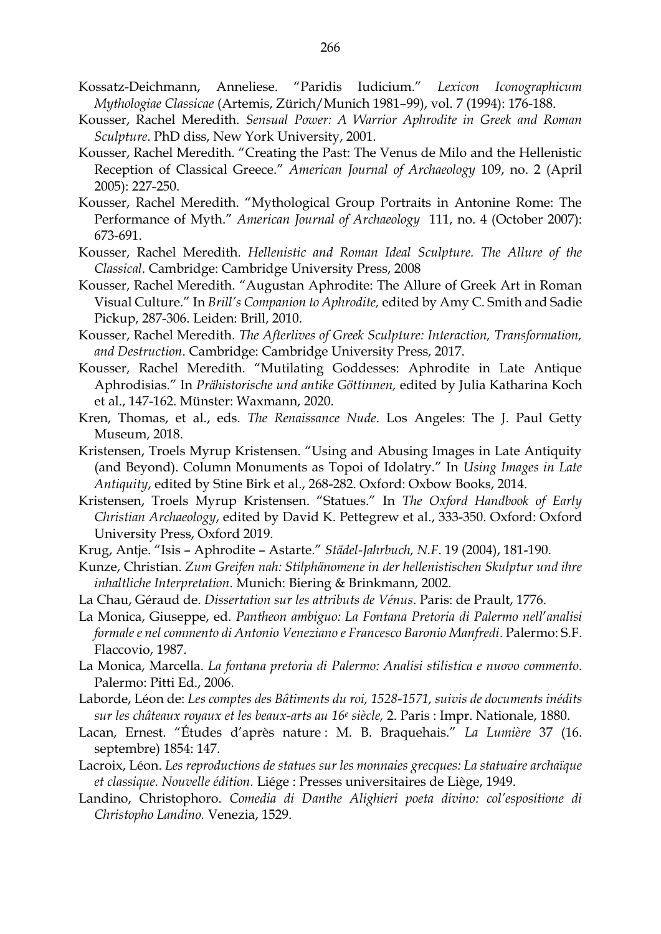- Kossatz-Deichmann, Anneliese. "Paridis Iudicium." *Lexicon Iconographicum Mythologiae Classicae* (Artemis, Zürich/Munich 1981–99), vol. 7 (1994): 176-188.
- Kousser, Rachel Meredith. *Sensual Power: A Warrior Aphrodite in Greek and Roman Sculpture*. PhD diss, New York University, 2001.
- Kousser, Rachel Meredith. "Creating the Past: The Venus de Milo and the Hellenistic Reception of Classical Greece." *American Journal of Archaeology* 109, no. 2 (April 2005): 227-250.
- Kousser, Rachel Meredith. "Mythological Group Portraits in Antonine Rome: The Performance of Myth." *American Journal of Archaeology* 111, no. 4 (October 2007): 673-691.
- Kousser, Rachel Meredith. *Hellenistic and Roman Ideal Sculpture. The Allure of the Classical*. Cambridge: Cambridge University Press, 2008
- Kousser, Rachel Meredith. "Augustan Aphrodite: The Allure of Greek Art in Roman Visual Culture." In *Brill's Companion to Aphrodite,* edited by Amy C. Smith and Sadie Pickup, 287-306. Leiden: Brill, 2010.
- Kousser, Rachel Meredith. *The Afterlives of Greek Sculpture: Interaction, Transformation, and Destruction*. Cambridge: Cambridge University Press, 2017.
- Kousser, Rachel Meredith. "Mutilating Goddesses: Aphrodite in Late Antique Aphrodisias." In *Prähistorische und antike Göttinnen,* edited by Julia Katharina Koch et al., 147-162. Münster: Waxmann, 2020.
- Kren, Thomas, et al., eds. *The Renaissance Nude*. Los Angeles: The J. Paul Getty Museum, 2018.
- Kristensen, Troels Myrup Kristensen. "Using and Abusing Images in Late Antiquity (and Beyond). Column Monuments as Topoi of Idolatry." In *Using Images in Late Antiquity*, edited by Stine Birk et al., 268-282. Oxford: Oxbow Books, 2014.
- Kristensen, Troels Myrup Kristensen. "Statues." In *The Oxford Handbook of Early Christian Archaeology*, edited by David K. Pettegrew et al., 333-350. Oxford: Oxford University Press, Oxford 2019.
- Krug, Antje. "Isis Aphrodite Astarte." *Städel-Jahrbuch, N.F*. 19 (2004), 181-190.
- Kunze, Christian. *Zum Greifen nah: Stilphänomene in der hellenistischen Skulptur und ihre inhaltliche Interpretation*. Munich: Biering & Brinkmann, 2002.
- La Chau, Géraud de. *Dissertation sur les attributs de Vénus*. Paris: de Prault, 1776.
- La Monica, Giuseppe, ed. *Pantheon ambiguo: La Fontana Pretoria di Palermo nell*'*analisi formale e nel commento di Antonio Veneziano e Francesco Baronio Manfredi*. Palermo: S.F. Flaccovio, 1987.
- La Monica, Marcella. *La fontana pretoria di Palermo: Analisi stilistica e nuovo commento*. Palermo: Pitti Ed., 2006.
- Laborde, Léon de: *Les comptes des Bâtiments du roi, 1528-1571, suivis de documents inédits sur les châteaux royaux et les beaux-arts au 16<sup>e</sup> siècle,* 2. Paris : Impr. Nationale, 1880.
- Lacan, Ernest. "Études d'après nature : M. B. Braquehais." *La Lumière* 37 (16. septembre) 1854: 147.
- Lacroix, Léon. *Les reproductions de statues sur les monnaies grecques: La statuaire archaïque et classique. Nouvelle édition.* Liége : Presses universitaires de Liège, 1949.
- Landino, Christophoro. *Comedia di Danthe Alighieri poeta divino: col'espositione di Christopho Landino.* Venezia, 1529.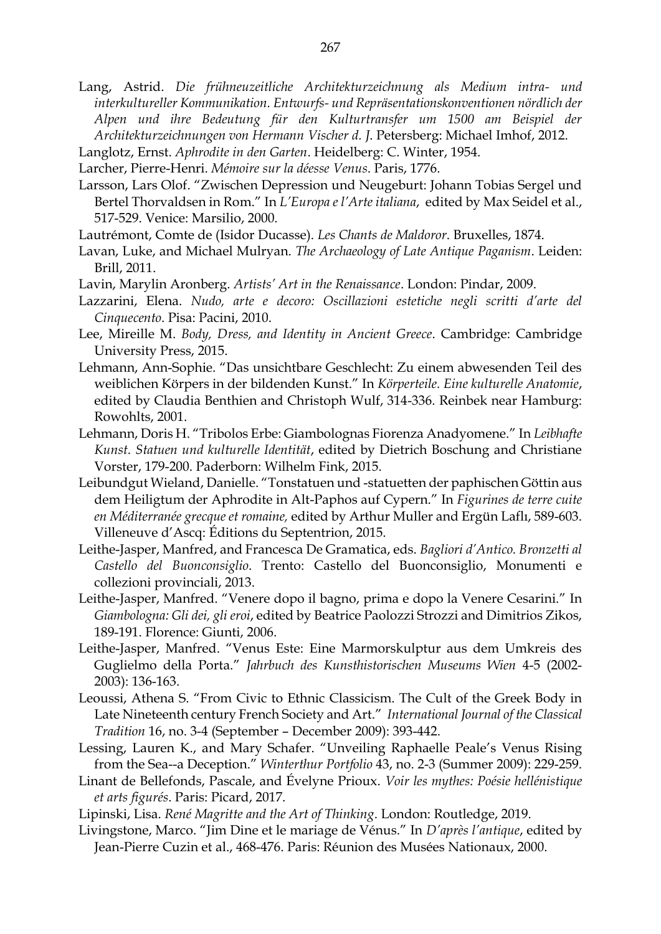- Lang, Astrid. *Die frühneuzeitliche Architekturzeichnung als Medium intra- und interkultureller Kommunikation. Entwurfs- und Repräsentationskonventionen nördlich der Alpen und ihre Bedeutung für den Kulturtransfer um 1500 am Beispiel der Architekturzeichnungen von Hermann Vischer d. J*. Petersberg: Michael Imhof, 2012.
- Langlotz, Ernst. *Aphrodite in den Garten*. Heidelberg: C. Winter, 1954.
- Larcher, Pierre-Henri. *Mémoire sur la déesse Venus*. Paris, 1776.
- Larsson, Lars Olof. "Zwischen Depression und Neugeburt: Johann Tobias Sergel und Bertel Thorvaldsen in Rom." In *L'Europa e l'Arte italiana*, edited by Max Seidel et al., 517-529. Venice: Marsilio, 2000.
- Lautrémont, Comte de (Isidor Ducasse). *Les Chants de Maldoror*. Bruxelles, 1874.
- Lavan, Luke, and Michael Mulryan. *The Archaeology of Late Antique Paganism*. Leiden: Brill, 2011.
- Lavin, Marylin Aronberg. *Artists' Art in the Renaissance*. London: Pindar, 2009.
- Lazzarini, Elena. *Nudo, arte e decoro: Oscillazioni estetiche negli scritti d'arte del Cinquecento*. Pisa: Pacini, 2010.
- Lee, Mireille M. *Body, Dress, and Identity in Ancient Greece*. Cambridge: Cambridge University Press, 2015.
- Lehmann, Ann-Sophie. "Das unsichtbare Geschlecht: Zu einem abwesenden Teil des weiblichen Körpers in der bildenden Kunst." In *Körperteile. Eine kulturelle Anatomie*, edited by Claudia Benthien and Christoph Wulf, 314-336. Reinbek near Hamburg: Rowohlts, 2001.
- Lehmann, Doris H. "Tribolos Erbe: Giambolognas Fiorenza Anadyomene." In *Leibhafte Kunst. Statuen und kulturelle Identität*, edited by Dietrich Boschung and Christiane Vorster, 179-200. Paderborn: Wilhelm Fink, 2015.
- Leibundgut Wieland, Danielle. "Tonstatuen und -statuetten der paphischen Göttin aus dem Heiligtum der Aphrodite in Alt-Paphos auf Cypern." In *Figurines de terre cuite en Méditerranée grecque et romaine,* edited by Arthur Muller and Ergün Laflı, 589-603. Villeneuve d'Ascq: Éditions du Septentrion, 2015.
- Leithe-Jasper, Manfred, and Francesca De Gramatica, eds. *Bagliori d'Antico. Bronzetti al Castello del Buonconsiglio*. Trento: Castello del Buonconsiglio, Monumenti e collezioni provinciali, 2013.
- Leithe-Jasper, Manfred. "Venere dopo il bagno, prima e dopo la Venere Cesarini." In *Giambologna: Gli dei, gli eroi*, edited by Beatrice Paolozzi Strozzi and Dimitrios Zikos, 189-191. Florence: Giunti, 2006.
- Leithe-Jasper, Manfred. "Venus Este: Eine Marmorskulptur aus dem Umkreis des Guglielmo della Porta." *Jahrbuch des Kunsthistorischen Museums Wien* 4-5 (2002- 2003): 136-163.
- Leoussi, Athena S. "From Civic to Ethnic Classicism. The Cult of the Greek Body in Late Nineteenth century French Society and Art." *International Journal of the Classical Tradition* 16, no. 3-4 (September – December 2009): 393-442.
- Lessing, Lauren K., and Mary Schafer. "Unveiling Raphaelle Peale's Venus Rising from the Sea--a Deception." *Winterthur Portfolio* 43, no. 2-3 (Summer 2009): 229-259.
- Linant de Bellefonds, Pascale, and Évelyne Prioux. *Voir les mythes: Poésie hellénistique et arts figurés*. Paris: Picard, 2017.
- Lipinski, Lisa. *René Magritte and the Art of Thinking*. London: Routledge, 2019.
- Livingstone, Marco. "Jim Dine et le mariage de Vénus." In *D'après l'antique*, edited by Jean-Pierre Cuzin et al., 468-476. Paris: Réunion des Musées Nationaux, 2000.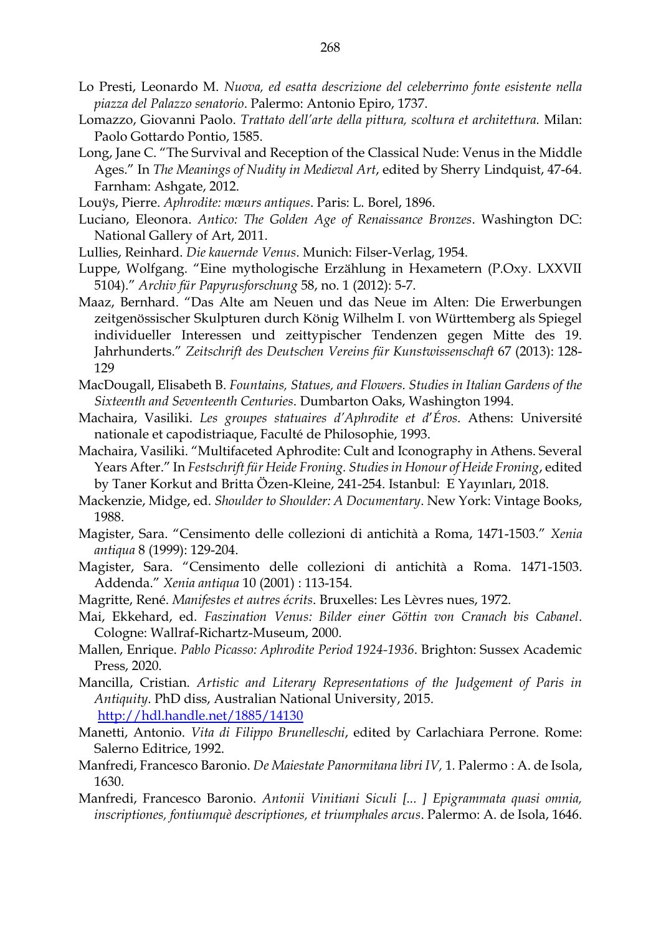- Lo Presti, Leonardo M. *Nuova, ed esatta descrizione del celeberrimo fonte esistente nella piazza del Palazzo senatorio*. Palermo: Antonio Epiro, 1737.
- Lomazzo, Giovanni Paolo. *Trattato dell'arte della pittura, scoltura et architettura.* Milan: Paolo Gottardo Pontio, 1585.
- Long, Jane C. "The Survival and Reception of the Classical Nude: Venus in the Middle Ages." In *The Meanings of Nudity in Medieval Art*, edited by Sherry Lindquist, 47-64. Farnham: Ashgate, 2012.
- Louÿs, Pierre. *Aphrodite: mœurs antiques*. Paris: L. Borel, 1896.
- Luciano, Eleonora. *Antico: The Golden Age of Renaissance Bronzes*. Washington DC: National Gallery of Art, 2011.
- Lullies, Reinhard. *Die kauernde Venus*. Munich: Filser-Verlag, 1954.
- Luppe, Wolfgang. "Eine mythologische Erzählung in Hexametern (P.Oxy. LXXVII 5104)." *Archiv für Papyrusforschung* 58, no. 1 (2012): 5-7.
- Maaz, Bernhard. "Das Alte am Neuen und das Neue im Alten: Die Erwerbungen zeitgenössischer Skulpturen durch König Wilhelm I. von Württemberg als Spiegel individueller Interessen und zeittypischer Tendenzen gegen Mitte des 19. Jahrhunderts." *Zeitschrift des Deutschen Vereins für Kunstwissenschaft* 67 (2013): 128- 129
- MacDougall, Elisabeth B. *Fountains, Statues, and Flowers. Studies in Italian Gardens of the Sixteenth and Seventeenth Centuries*. Dumbarton Oaks, Washington 1994.
- Machaira, Vasiliki. *Les groupes statuaires d'Aphrodite et d*'*Éros*. Athens: Université nationale et capodistriaque, Faculté de Philosophie, 1993.
- Machaira, Vasiliki. "Multifaceted Aphrodite: Cult and Iconography in Athens. Several Years After." In *Festschrift für Heide Froning. Studies in Honour of Heide Froning*, edited by Taner Korkut and Britta Özen-Kleine, 241-254. Istanbul: E Yayınları, 2018.
- Mackenzie, Midge, ed. *Shoulder to Shoulder: A Documentary*. New York: Vintage Books, 1988.
- Magister, Sara. "Censimento delle collezioni di antichità a Roma, 1471-1503." *Xenia antiqua* 8 (1999): 129-204.
- Magister, Sara. "Censimento delle collezioni di antichità a Roma. 1471-1503. Addenda." *Xenia antiqua* 10 (2001) : 113-154.
- Magritte, René. *Manifestes et autres écrits*. Bruxelles: Les Lèvres nues, 1972.
- Mai, Ekkehard, ed. *Faszination Venus: Bilder einer Göttin von Cranach bis Cabanel*. Cologne: Wallraf-Richartz-Museum, 2000.
- Mallen, Enrique. *Pablo Picasso: Aphrodite Period 1924-1936*. Brighton: Sussex Academic Press, 2020.
- Mancilla, Cristian. *Artistic and Literary Representations of the Judgement of Paris in Antiquity*. PhD diss, Australian National University, 2015. <http://hdl.handle.net/1885/14130>
- Manetti, Antonio. *Vita di Filippo Brunelleschi*, edited by Carlachiara Perrone. Rome: Salerno Editrice, 1992.
- Manfredi, Francesco Baronio. *De Maiestate Panormitana libri IV,* 1*.* Palermo : A. de Isola, 1630.
- Manfredi, Francesco Baronio. *Antonii Vinitiani Siculi [... ] Epigrammata quasi omnia, inscriptiones, fontiumquè descriptiones, et triumphales arcus*. Palermo: A. de Isola, 1646.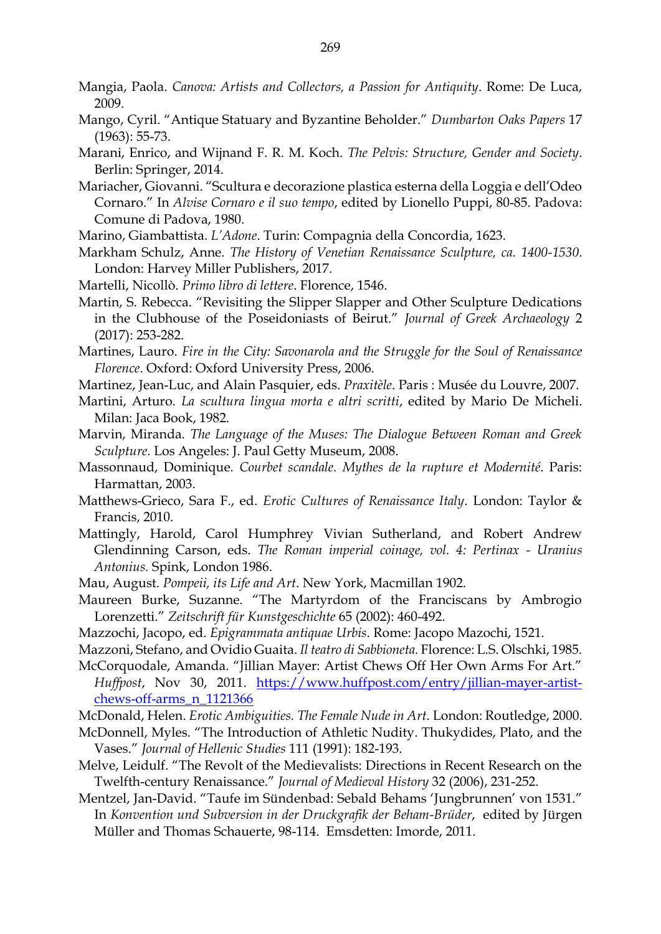- Mangia, Paola. *Canova: Artists and Collectors, a Passion for Antiquity*. Rome: De Luca, 2009.
- Mango, Cyril. "Antique Statuary and Byzantine Beholder." *Dumbarton Oaks Papers* 17 (1963): 55-73.
- Marani, Enrico, and Wijnand F. R. M. Koch. *The Pelvis: Structure, Gender and Society*. Berlin: Springer, 2014.
- Mariacher, Giovanni. "Scultura e decorazione plastica esterna della Loggia e dell'Odeo Cornaro." In *Alvise Cornaro e il suo tempo*, edited by Lionello Puppi, 80-85. Padova: Comune di Padova, 1980.
- Marino, Giambattista. *L'Adone*. Turin: Compagnia della Concordia, 1623.
- Markham Schulz, Anne. *The History of Venetian Renaissance Sculpture, ca. 1400-1530*. London: Harvey Miller Publishers, 2017.
- Martelli, Nicollò. *Primo libro di lettere*. Florence, 1546.
- Martin, S. Rebecca. "Revisiting the Slipper Slapper and Other Sculpture Dedications in the Clubhouse of the Poseidoniasts of Beirut." *Journal of Greek Archaeology* 2 (2017): 253-282.
- Martines, Lauro. *Fire in the City: Savonarola and the Struggle for the Soul of Renaissance Florence*. Oxford: Oxford University Press, 2006.
- Martinez, Jean-Luc, and Alain Pasquier, eds. *Praxitèle*. Paris : Musée du Louvre, 2007.
- Martini, Arturo. *La scultura lingua morta e altri scritti*, edited by Mario De Micheli. Milan: Jaca Book, 1982.
- Marvin, Miranda. *The Language of the Muses: The Dialogue Between Roman and Greek Sculpture*. Los Angeles: J. Paul Getty Museum, 2008.
- Massonnaud, Dominique*. Courbet scandale. Mythes de la rupture et Modernité*. Paris: Harmattan, 2003.
- Matthews-Grieco, Sara F., ed. *Erotic Cultures of Renaissance Italy*. London: Taylor & Francis, 2010.
- Mattingly, Harold, Carol Humphrey Vivian Sutherland, and Robert Andrew Glendinning Carson, eds. *The Roman imperial coinage, vol. 4: Pertinax - Uranius Antonius.* Spink, London 1986.
- Mau, August. *Pompeii, its Life and Art*. New York, Macmillan 1902.
- Maureen Burke, Suzanne. "The Martyrdom of the Franciscans by Ambrogio Lorenzetti." *Zeitschrift für Kunstgeschichte* 65 (2002): 460-492.
- Mazzochi, Jacopo, ed. *Epigrammata antiquae Urbis*. Rome: Jacopo Mazochi, 1521.
- Mazzoni, Stefano, and Ovidio Guaita. *Il teatro di Sabbioneta.* Florence: L.S. Olschki, 1985.
- McCorquodale, Amanda. "Jillian Mayer: Artist Chews Off Her Own Arms For Art." *Huffpost*, Nov 30, 2011. [https://www.huffpost.com/entry/jillian-mayer-artist](https://www.huffpost.com/entry/jillian-mayer-artist-chews-off-arms_n_1121366)[chews-off-arms\\_n\\_1121366](https://www.huffpost.com/entry/jillian-mayer-artist-chews-off-arms_n_1121366)
- McDonald, Helen. *Erotic Ambiguities. The Female Nude in Art*. London: Routledge, 2000.
- McDonnell, Myles. "The Introduction of Athletic Nudity. Thukydides, Plato, and the Vases." *Journal of Hellenic Studies* 111 (1991): 182-193.
- Melve, Leidulf. "The Revolt of the Medievalists: Directions in Recent Research on the Twelfth-century Renaissance." *Journal of Medieval History* 32 (2006), 231-252.
- Mentzel, Jan-David. "Taufe im Sündenbad: Sebald Behams 'Jungbrunnen' von 1531." In *Konvention und Subversion in der Druckgrafik der Beham-Brüder*, edited by Jürgen Müller and Thomas Schauerte, 98-114. Emsdetten: Imorde, 2011.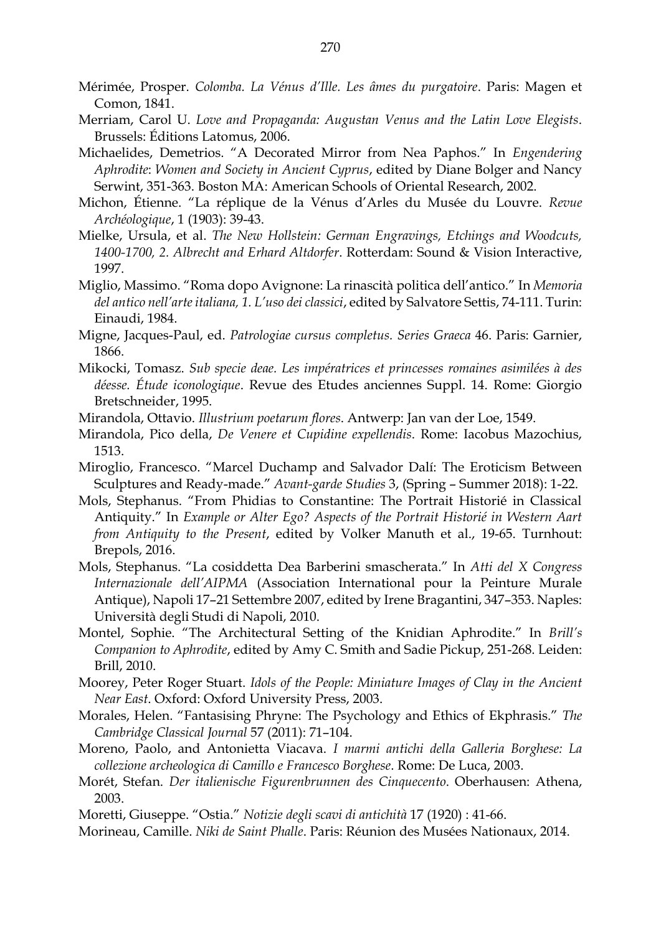- Mérimée, Prosper. *Colomba. La Vénus d'Ille. Les âmes du purgatoire*. Paris: Magen et Comon, 1841.
- Merriam, Carol U. *Love and Propaganda: Augustan Venus and the Latin Love Elegists*. Brussels: Éditions Latomus, 2006.
- Michaelides, Demetrios. "A Decorated Mirror from Nea Paphos." In *Engendering Aphrodite*: *Women and Society in Ancient Cyprus*, edited by Diane Bolger and Nancy Serwint, 351-363. Boston MA: American Schools of Oriental Research, 2002.
- Michon, Étienne. "La réplique de la Vénus d'Arles du Musée du Louvre. *Revue Archéologique*, 1 (1903): 39-43.
- Mielke, Ursula, et al. *The New Hollstein: German Engravings, Etchings and Woodcuts, 1400-1700, 2. Albrecht and Erhard Altdorfer*. Rotterdam: Sound & Vision Interactive, 1997.
- Miglio, Massimo. "Roma dopo Avignone: La rinascità politica dell'antico." In *Memoria del antico nell'arte italiana, 1. L'uso dei classici*, edited by Salvatore Settis, 74-111. Turin: Einaudi, 1984.
- Migne, Jacques-Paul, ed. *Patrologiae cursus completus. Series Graeca* 46. Paris: Garnier, 1866.
- Mikocki, Tomasz. *Sub specie deae. Les impératrices et princesses romaines asimilées à des déesse. Étude iconologique*. Revue des Etudes anciennes Suppl. 14. Rome: Giorgio Bretschneider, 1995.
- Mirandola, Ottavio. *Illustrium poetarum flores*. Antwerp: Jan van der Loe, 1549.
- Mirandola, Pico della, *De Venere et Cupidine expellendis*. Rome: Iacobus Mazochius, 1513.
- Miroglio, Francesco. "Marcel Duchamp and Salvador Dalí: The Eroticism Between Sculptures and Ready-made." *Avant-garde Studies* 3, (Spring – Summer 2018): 1-22.
- Mols, Stephanus. "From Phidias to Constantine: The Portrait Historié in Classical Antiquity." In *Example or Alter Ego? Aspects of the Portrait Historié in Western Aart from Antiquity to the Present*, edited by Volker Manuth et al., 19-65. Turnhout: Brepols, 2016.
- Mols, Stephanus. "La cosiddetta Dea Barberini smascherata." In *Atti del X Congress Internazionale dell'AIPMA* (Association International pour la Peinture Murale Antique), Napoli 17–21 Settembre 2007, edited by Irene Bragantini, 347–353. Naples: Università degli Studi di Napoli, 2010.
- Montel, Sophie. "The Architectural Setting of the Knidian Aphrodite." In *Brill's Companion to Aphrodite*, edited by Amy C. Smith and Sadie Pickup, 251-268. Leiden: Brill, 2010.
- Moorey, Peter Roger Stuart. *Idols of the People: Miniature Images of Clay in the Ancient Near East*. Oxford: Oxford University Press, 2003.
- Morales, Helen. "Fantasising Phryne: The Psychology and Ethics of Ekphrasis." *The Cambridge Classical Journal* 57 (2011): 71–104.
- Moreno, Paolo, and Antonietta Viacava. *I marmi antichi della Galleria Borghese: La collezione archeologica di Camillo e Francesco Borghese*. Rome: De Luca, 2003.
- Morét, Stefan. *Der italienische Figurenbrunnen des Cinquecento*. Oberhausen: Athena, 2003.
- Moretti, Giuseppe. "Ostia." *Notizie degli scavi di antichità* 17 (1920) : 41-66.
- Morineau, Camille. *Niki de Saint Phalle*. Paris: Réunion des Musées Nationaux, 2014.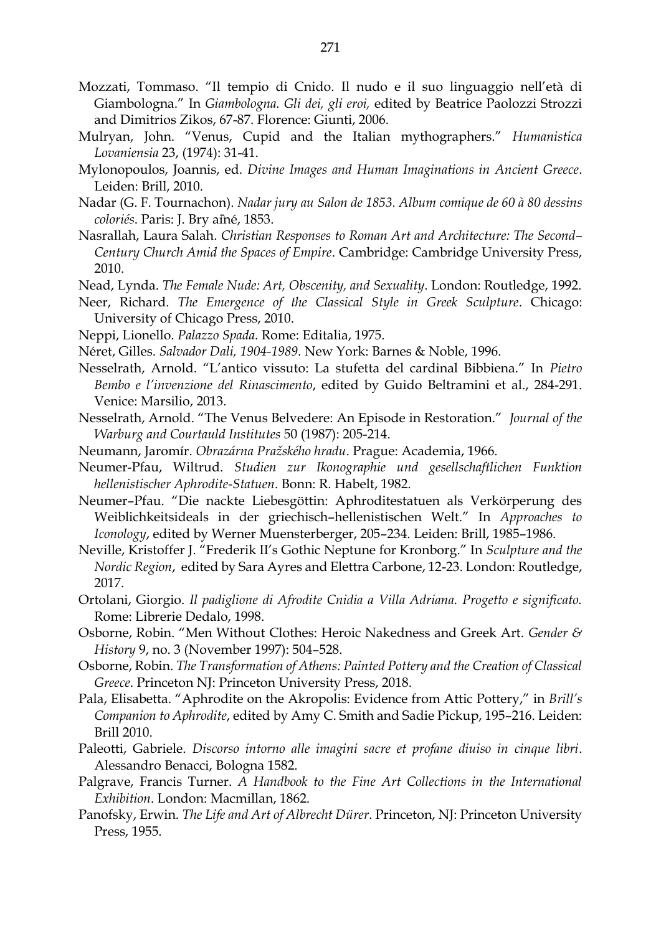- Mozzati, Tommaso. "Il tempio di Cnido. Il nudo e il suo linguaggio nell'età di Giambologna." In *Giambologna. Gli dei, gli eroi,* edited by Beatrice Paolozzi Strozzi and Dimitrios Zikos, 67-87. Florence: Giunti, 2006.
- Mulryan, John. "Venus, Cupid and the Italian mythographers." *Humanistica Lovaniensia* 23, (1974): 31-41.
- Mylonopoulos, Joannis, ed. *Divine Images and Human Imaginations in Ancient Greece*. Leiden: Brill, 2010.
- Nadar (G. F. Tournachon). *Nadar jury au Salon de 1853. Album comique de 60 à 80 dessins coloriés*. Paris: J. Bry aîné, 1853.
- Nasrallah, Laura Salah. *Christian Responses to Roman Art and Architecture: The Second– Century Church Amid the Spaces of Empire*. Cambridge: Cambridge University Press, 2010.
- Nead, Lynda. *The Female Nude: Art, Obscenity, and Sexuality*. London: Routledge, 1992.
- Neer, Richard. *The Emergence of the Classical Style in Greek Sculpture*. Chicago: University of Chicago Press, 2010.
- Neppi, Lionello. *Palazzo Spada*. Rome: Editalia, 1975.
- Néret, Gilles. *Salvador Dali, 1904-1989*. New York: Barnes & Noble, 1996.
- Nesselrath, Arnold. "L'antico vissuto: La stufetta del cardinal Bibbiena." In *Pietro Bembo e l'invenzione del Rinascimento*, edited by Guido Beltramini et al., 284-291. Venice: Marsilio, 2013.
- Nesselrath, Arnold. "The Venus Belvedere: An Episode in Restoration." *Journal of the Warburg and Courtauld Institutes* 50 (1987): 205-214.
- Neumann, Jaromír. *Obrazárna Pražského hradu*. Prague: Academia, 1966.
- Neumer-Pfau, Wiltrud. *Studien zur Ikonographie und gesellschaftlichen Funktion hellenistischer Aphrodite-Statuen*. Bonn: R. Habelt, 1982.
- Neumer–Pfau. "Die nackte Liebesgöttin: Aphroditestatuen als Verkörperung des Weiblichkeitsideals in der griechisch–hellenistischen Welt." In *Approaches to Iconology*, edited by Werner Muensterberger, 205–234. Leiden: Brill, 1985–1986.
- Neville, Kristoffer J. "Frederik II's Gothic Neptune for Kronborg." In *Sculpture and the Nordic Region*, edited by Sara Ayres and Elettra Carbone, 12-23. London: Routledge, 2017.
- Ortolani, Giorgio. *Il padiglione di Afrodite Cnidia a Villa Adriana. Progetto e significato.* Rome: Librerie Dedalo, 1998.
- Osborne, Robin. "Men Without Clothes: Heroic Nakedness and Greek Art. *Gender & History* 9, no. 3 (November 1997): 504–528.
- Osborne, Robin. *The Transformation of Athens: Painted Pottery and the Creation of Classical Greece*. Princeton NJ: Princeton University Press, 2018.
- Pala, Elisabetta. "Aphrodite on the Akropolis: Evidence from Attic Pottery," in *Brill's Companion to Aphrodite*, edited by Amy C. Smith and Sadie Pickup, 195–216. Leiden: Brill 2010.
- Paleotti, Gabriele. *Discorso intorno alle imagini sacre et profane diuiso in cinque libri*. Alessandro Benacci, Bologna 1582.
- Palgrave, Francis Turner. *A Handbook to the Fine Art Collections in the International Exhibition*. London: Macmillan, 1862.
- Panofsky, Erwin. *The Life and Art of Albrecht Dürer*. Princeton, NJ: Princeton University Press, 1955.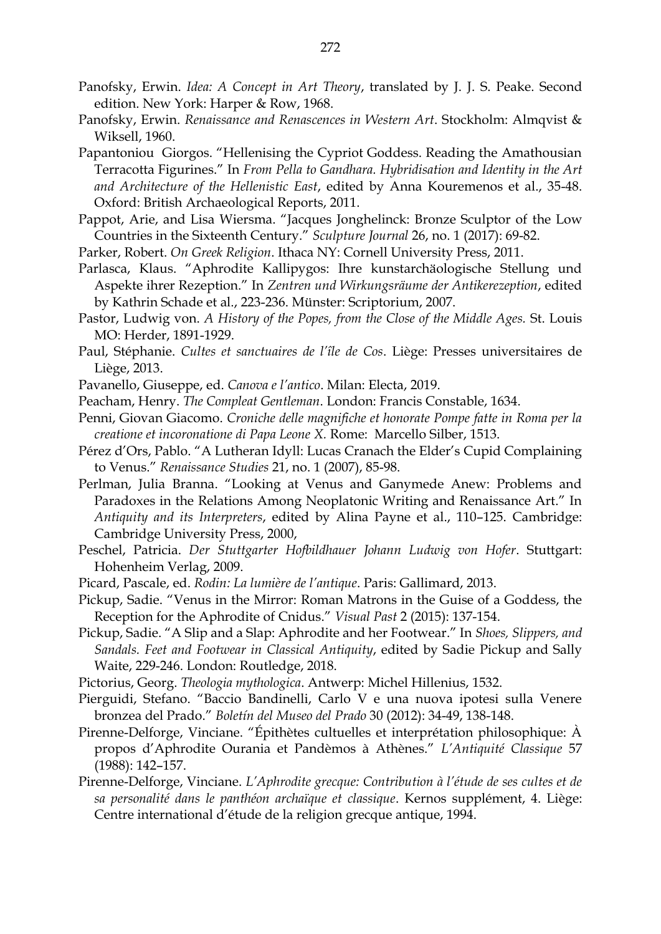- Panofsky, Erwin. *Idea: A Concept in Art Theory*, translated by J. J. S. Peake. Second edition. New York: Harper & Row, 1968.
- Panofsky, Erwin. *Renaissance and Renascences in Western Art*. Stockholm: Almqvist & Wiksell, 1960.
- Papantoniou Giorgos. "Hellenising the Cypriot Goddess. Reading the Amathousian Terracotta Figurines." In *From Pella to Gandhara. Hybridisation and Identity in the Art and Architecture of the Hellenistic East*, edited by Anna Kouremenos et al., 35-48. Oxford: British Archaeological Reports, 2011.
- Pappot, Arie, and Lisa Wiersma. "Jacques Jonghelinck: Bronze Sculptor of the Low Countries in the Sixteenth Century." *Sculpture Journal* 26, no. 1 (2017): 69-82.
- Parker, Robert. *On Greek Religion*. Ithaca NY: Cornell University Press, 2011.
- Parlasca, Klaus. "Aphrodite Kallipygos: Ihre kunstarchäologische Stellung und Aspekte ihrer Rezeption." In *Zentren und Wirkungsräume der Antikerezeption*, edited by Kathrin Schade et al., 223-236. Münster: Scriptorium, 2007.
- Pastor, Ludwig von. *A History of the Popes, from the Close of the Middle Ages.* St. Louis MO: Herder, 1891-1929.
- Paul, Stéphanie. *Cultes et sanctuaires de l'île de Cos*. Liège: Presses universitaires de Liège, 2013.
- Pavanello, Giuseppe, ed. *Canova e l'antico*. Milan: Electa, 2019.
- Peacham, Henry. *The Compleat Gentleman*. London: Francis Constable, 1634.
- Penni, Giovan Giacomo. *Croniche delle magnifiche et honorate Pompe fatte in Roma per la creatione et incoronatione di Papa Leone X.* Rome: Marcello Silber, 1513.
- Pérez d'Ors, Pablo. "A Lutheran Idyll: Lucas Cranach the Elder's Cupid Complaining to Venus." *Renaissance Studies* 21, no. 1 (2007), 85-98.
- Perlman, Julia Branna. "Looking at Venus and Ganymede Anew: Problems and Paradoxes in the Relations Among Neoplatonic Writing and Renaissance Art." In *Antiquity and its Interpreters*, edited by Alina Payne et al., 110–125. Cambridge: Cambridge University Press, 2000,
- Peschel, Patricia. *Der Stuttgarter Hofbildhauer Johann Ludwig von Hofer*. Stuttgart: Hohenheim Verlag, 2009.
- Picard, Pascale, ed. *Rodin: La lumière de l'antique*. Paris: Gallimard, 2013.
- Pickup, Sadie. "Venus in the Mirror: Roman Matrons in the Guise of a Goddess, the Reception for the Aphrodite of Cnidus." *Visual Past* 2 (2015): 137-154.
- Pickup, Sadie. "A Slip and a Slap: Aphrodite and her Footwear." In *Shoes, Slippers, and Sandals. Feet and Footwear in Classical Antiquity*, edited by Sadie Pickup and Sally Waite, 229-246. London: Routledge, 2018.
- Pictorius, Georg. *Theologia mythologica*. Antwerp: Michel Hillenius, 1532.
- Pierguidi, Stefano. "Baccio Bandinelli, Carlo V e una nuova ipotesi sulla Venere bronzea del Prado." *Boletín del Museo del Prado* 30 (2012): 34-49, 138-148.
- Pirenne-Delforge, Vinciane. "Épithètes cultuelles et interprétation philosophique: À propos d'Aphrodite Ourania et Pandèmos à Athènes." *L'Antiquité Classique* 57 (1988): 142–157.
- Pirenne-Delforge, Vinciane. *L'Aphrodite grecque: Contribution à l'étude de ses cultes et de sa personalité dans le panthéon archaïque et classique*. Kernos supplément, 4. Liège: Centre international d'étude de la religion grecque antique, 1994.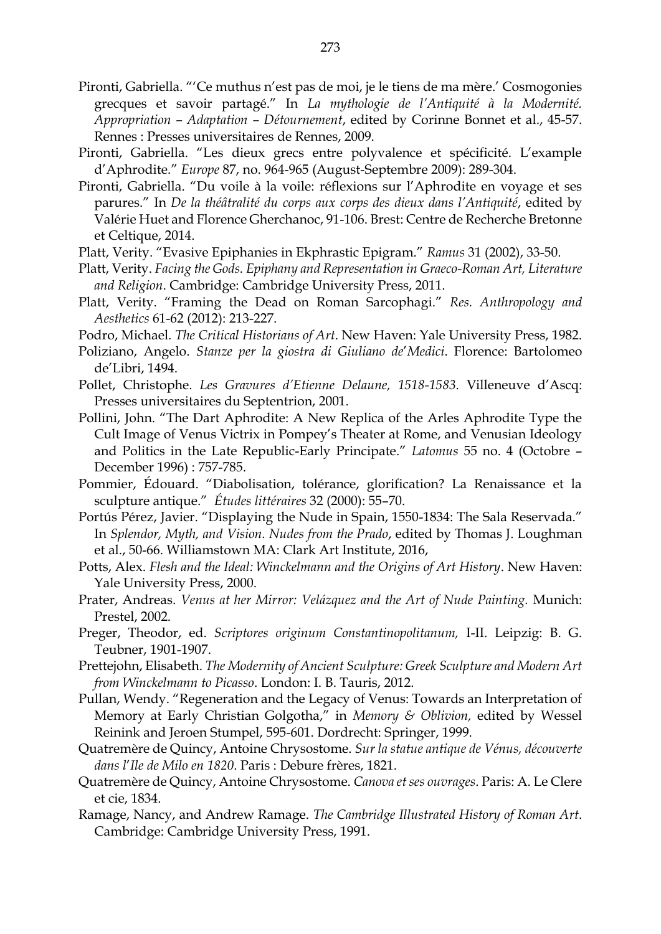- Pironti, Gabriella. "'Ce muthus n'est pas de moi, je le tiens de ma mère.' Cosmogonies grecques et savoir partagé." In *La mythologie de l'Antiquité à la Modernité. Appropriation – Adaptation – Détournement*, edited by Corinne Bonnet et al., 45-57. Rennes : Presses universitaires de Rennes, 2009.
- Pironti, Gabriella. "Les dieux grecs entre polyvalence et spécificité. L'example d'Aphrodite." *Europe* 87, no. 964-965 (August-Septembre 2009): 289-304.
- Pironti, Gabriella. "Du voile à la voile: réflexions sur l'Aphrodite en voyage et ses parures." In *De la théâtralité du corps aux corps des dieux dans l'Antiquité*, edited by Valérie Huet and Florence Gherchanoc, 91-106. Brest: Centre de Recherche Bretonne et Celtique, 2014.
- Platt, Verity. "Evasive Epiphanies in Ekphrastic Epigram." *Ramus* 31 (2002), 33-50.
- Platt, Verity. *Facing the Gods. Epiphany and Representation in Graeco-Roman Art, Literature and Religion*. Cambridge: Cambridge University Press, 2011.
- Platt, Verity. "Framing the Dead on Roman Sarcophagi." *Res. Anthropology and Aesthetics* 61-62 (2012): 213-227.
- Podro, Michael. *The Critical Historians of Art*. New Haven: Yale University Press, 1982.
- Poliziano, Angelo. *Stanze per la giostra di Giuliano de*'*Medici*. Florence: Bartolomeo de'Libri, 1494.
- Pollet, Christophe. *Les Gravures d'Etienne Delaune, 1518-1583*. Villeneuve d'Ascq: Presses universitaires du Septentrion, 2001.
- Pollini, John. "The Dart Aphrodite: A New Replica of the Arles Aphrodite Type the Cult Image of Venus Victrix in Pompey's Theater at Rome, and Venusian Ideology and Politics in the Late Republic-Early Principate." *Latomus* 55 no. 4 (Octobre – December 1996) : 757-785.
- Pommier, Édouard. "Diabolisation, tolérance, glorification? La Renaissance et la sculpture antique." *Études littéraires* 32 (2000): 55–70.
- Portús Pérez, Javier. "Displaying the Nude in Spain, 1550-1834: The Sala Reservada." In *Splendor, Myth, and Vision. Nudes from the Prado*, edited by Thomas J. Loughman et al., 50-66. Williamstown MA: Clark Art Institute, 2016,
- Potts, Alex. *Flesh and the Ideal: Winckelmann and the Origins of Art History*. New Haven: Yale University Press, 2000.
- Prater, Andreas. *Venus at her Mirror: Velázquez and the Art of Nude Painting.* Munich: Prestel, 2002.
- Preger, Theodor, ed. *Scriptores originum Constantinopolitanum,* I-II. Leipzig: B. G. Teubner, 1901-1907.
- Prettejohn, Elisabeth. *The Modernity of Ancient Sculpture: Greek Sculpture and Modern Art from Winckelmann to Picasso*. London: I. B. Tauris, 2012.
- Pullan, Wendy. "Regeneration and the Legacy of Venus: Towards an Interpretation of Memory at Early Christian Golgotha," in *Memory & Oblivion,* edited by Wessel Reinink and Jeroen Stumpel, 595-601. Dordrecht: Springer, 1999.
- Quatremère de Quincy, Antoine Chrysostome. *Sur la statue antique de Vénus, découverte dans l*'*Ile de Milo en 1820*. Paris : Debure frères, 1821.
- Quatremère de Quincy, Antoine Chrysostome. *Canova et ses ouvrages*. Paris: A. Le Clere et cie, 1834.
- Ramage, Nancy, and Andrew Ramage. *The Cambridge Illustrated History of Roman Art*. Cambridge: Cambridge University Press, 1991.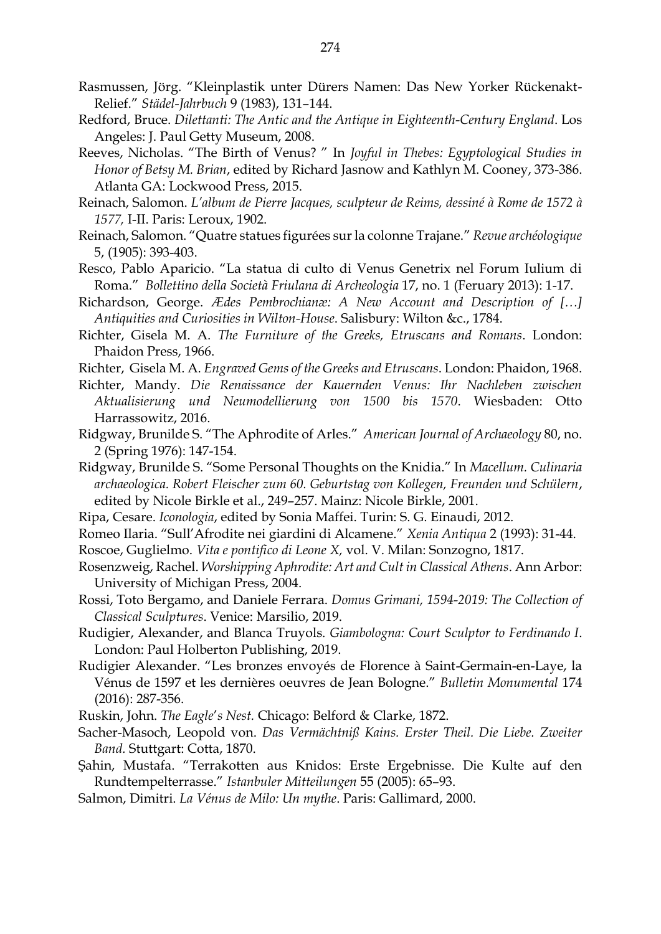- Rasmussen, Jörg. "Kleinplastik unter Dürers Namen: Das New Yorker Rückenakt-Relief." *Städel-Jahrbuch* 9 (1983), 131–144.
- Redford, Bruce. *Dilettanti: The Antic and the Antique in Eighteenth-Century England*. Los Angeles: J. Paul Getty Museum, 2008.
- Reeves, Nicholas. "The Birth of Venus? " In *Joyful in Thebes: Egyptological Studies in Honor of Betsy M. Brian*, edited by Richard Jasnow and Kathlyn M. Cooney, 373-386. Atlanta GA: Lockwood Press, 2015.
- Reinach, Salomon. *L'album de Pierre Jacques, sculpteur de Reims, dessiné à Rome de 1572 à 1577,* I-II. Paris: Leroux, 1902.
- Reinach, Salomon. "Quatre statues figurées sur la colonne Trajane." *Revue archéologique* 5, (1905): 393-403.
- Resco, Pablo Aparicio. "La statua di culto di Venus Genetrix nel Forum Iulium di Roma." *Bollettino della Società Friulana di Archeologia* 17, no. 1 (Feruary 2013): 1-17.
- Richardson, George. *Ædes Pembrochianæ: A New Account and Description of […] Antiquities and Curiosities in Wilton-House*. Salisbury: Wilton &c., 1784.
- Richter, Gisela M. A. *The Furniture of the Greeks, Etruscans and Romans*. London: Phaidon Press, 1966.
- Richter, Gisela M. A. *Engraved Gems of the Greeks and Etruscans*. London: Phaidon, 1968.
- Richter, Mandy. *Die Renaissance der Kauernden Venus: Ihr Nachleben zwischen Aktualisierung und Neumodellierung von 1500 bis 1570*. Wiesbaden: Otto Harrassowitz, 2016.
- Ridgway, Brunilde S. "The Aphrodite of Arles." *American Journal of Archaeology* 80, no. 2 (Spring 1976): 147-154.
- Ridgway, Brunilde S. "Some Personal Thoughts on the Knidia." In *Macellum. Culinaria archaeologica. Robert Fleischer zum 60. Geburtstag von Kollegen, Freunden und Schülern*, edited by Nicole Birkle et al., 249–257. Mainz: Nicole Birkle, 2001.
- Ripa, Cesare. *Iconologia*, edited by Sonia Maffei. Turin: S. G. Einaudi, 2012.
- Romeo Ilaria. "Sull'Afrodite nei giardini di Alcamene." *Xenia Antiqua* 2 (1993): 31-44.
- Roscoe, Guglielmo. *Vita e pontifico di Leone X,* vol. V. Milan: Sonzogno, 1817.
- Rosenzweig, Rachel. *Worshipping Aphrodite: Art and Cult in Classical Athens*. Ann Arbor: University of Michigan Press, 2004.
- Rossi, Toto Bergamo, and Daniele Ferrara. *Domus Grimani, 1594-2019: The Collection of Classical Sculptures*. Venice: Marsilio, 2019.
- Rudigier, Alexander, and Blanca Truyols. *Giambologna: Court Sculptor to Ferdinando I*. London: Paul Holberton Publishing, 2019.
- Rudigier Alexander. "Les bronzes envoyés de Florence à Saint-Germain-en-Laye, la Vénus de 1597 et les dernières oeuvres de Jean Bologne." *Bulletin Monumental* 174 (2016): 287-356.
- Ruskin, John. *The Eagle*'*s Nest.* Chicago: Belford & Clarke, 1872.
- Sacher-Masoch, Leopold von. *Das Vermächtniß Kains. Erster Theil. Die Liebe. Zweiter Band.* Stuttgart: Cotta, 1870.
- Şahin, Mustafa. "Terrakotten aus Knidos: Erste Ergebnisse. Die Kulte auf den Rundtempelterrasse." *Istanbuler Mitteilungen* 55 (2005): 65–93.
- Salmon, Dimitri. *La Vénus de Milo: Un mythe*. Paris: Gallimard, 2000.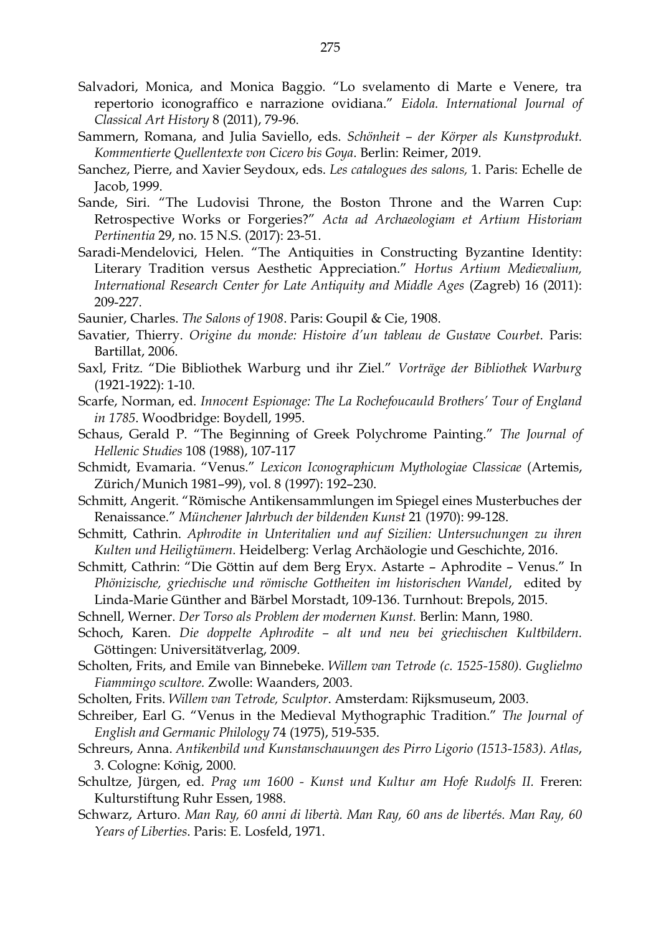- Salvadori, Monica, and Monica Baggio. "Lo svelamento di Marte e Venere, tra repertorio iconograffico e narrazione ovidiana." *Eidola. International Journal of Classical Art History* 8 (2011), 79-96.
- Sammern, Romana, and Julia Saviello, eds. *Schönheit – der Körper als Kunstprodukt. Kommentierte Quellentexte von Cicero bis Goya*. Berlin: Reimer, 2019.
- Sanchez, Pierre, and Xavier Seydoux, eds. *Les catalogues des salons,* 1. Paris: Echelle de Jacob, 1999.
- Sande, Siri. "The Ludovisi Throne, the Boston Throne and the Warren Cup: Retrospective Works or Forgeries?" *Acta ad Archaeologiam et Artium Historiam Pertinentia* 29, no. 15 N.S. (2017): 23-51.
- Saradi-Mendelovici, Helen. "The Antiquities in Constructing Byzantine Identity: Literary Tradition versus Aesthetic Appreciation." *Hortus Αrtium Medievalium, International Research Center for Late Antiquity and Middle Ages* (Zagreb) 16 (2011): 209-227.
- Saunier, Charles. *The Salons of 1908*. Paris: Goupil & Cie, 1908.
- Savatier, Thierry. *Origine du monde: Histoire d'un tableau de Gustave Courbet*. Paris: Bartillat, 2006.
- Saxl, Fritz. "Die Bibliothek Warburg und ihr Ziel." *Vorträge der Bibliothek Warburg* (1921-1922): 1-10.
- Scarfe, Norman, ed. *Innocent Espionage: The La Rochefoucauld Brothers' Tour of England in 1785*. Woodbridge: Boydell, 1995.
- Schaus, Gerald P. "The Beginning of Greek Polychrome Painting." *The Journal of Hellenic Studies* 108 (1988), 107-117
- Schmidt, Evamaria. "Venus." *Lexicon Iconographicum Mythologiae Classicae* (Artemis, Zürich/Munich 1981–99), vol. 8 (1997): 192–230.
- Schmitt, Angerit. "Römische Antikensammlungen im Spiegel eines Musterbuches der Renaissance." *Münchener Jahrbuch der bildenden Kunst* 21 (1970): 99-128.
- Schmitt, Cathrin. *Aphrodite in Unteritalien und auf Sizilien: Untersuchungen zu ihren Kulten und Heiligtümern.* Heidelberg: Verlag Archäologie und Geschichte, 2016.
- Schmitt, Cathrin: "Die Göttin auf dem Berg Eryx. Astarte Aphrodite Venus." In *Phönizische, griechische und römische Gottheiten im historischen Wandel*, edited by Linda-Marie Günther and Bärbel Morstadt, 109-136. Turnhout: Brepols, 2015.
- Schnell, Werner. *Der Torso als Problem der modernen Kunst.* Berlin: Mann, 1980.
- Schoch, Karen. *Die doppelte Aphrodite – alt und neu bei griechischen Kultbildern.* Göttingen: Universitätverlag, 2009.
- Scholten, Frits, and Emile van Binnebeke. *Willem van Tetrode (c. 1525-1580). Guglielmo Fiammingo scultore.* Zwolle: Waanders, 2003.
- Scholten, Frits. *Willem van Tetrode, Sculptor*. Amsterdam: Rijksmuseum, 2003.
- Schreiber, Earl G. "Venus in the Medieval Mythographic Tradition." *The Journal of English and Germanic Philology* 74 (1975), 519-535.
- Schreurs, Anna. *Antikenbild und Kunstanschauungen des Pirro Ligorio (1513-1583). Atlas*, 3. Cologne: König, 2000.
- Schultze, Jürgen, ed. *Prag um 1600 - Kunst und Kultur am Hofe Rudolfs II.* Freren: Kulturstiftung Ruhr Essen, 1988.
- Schwarz, Arturo. *Man Ray, 60 anni di libertà. Man Ray, 60 ans de libertés. Man Ray, 60 Years of Liberties*. Paris: E. Losfeld, 1971.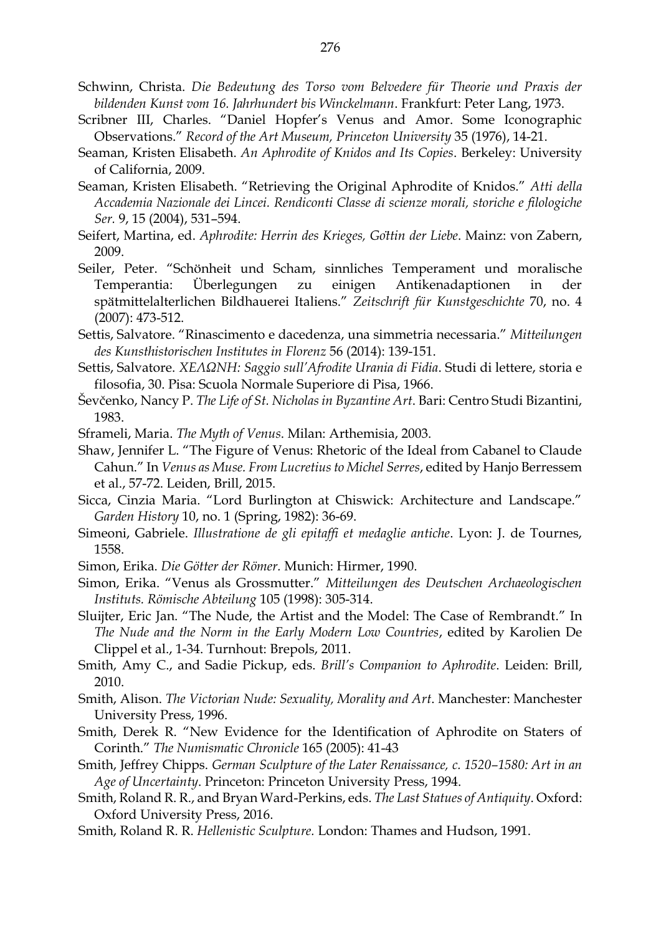- Schwinn, Christa. *Die Bedeutung des Torso vom Belvedere für Theorie und Praxis der bildenden Kunst vom 16. Jahrhundert bis Winckelmann*. Frankfurt: Peter Lang, 1973.
- Scribner III, Charles. "Daniel Hopfer's Venus and Amor. Some Iconographic Observations." *Record of the Art Museum, Princeton University* 35 (1976), 14-21.
- Seaman, Kristen Elisabeth. *An Aphrodite of Knidos and Its Copies*. Berkeley: University of California, 2009.
- Seaman, Kristen Elisabeth. "Retrieving the Original Aphrodite of Knidos." *Atti della Accademia Nazionale dei Lincei. Rendiconti Classe di scienze morali, storiche e filologiche Ser.* 9, 15 (2004), 531–594.
- Seifert, Martina, ed. *Aphrodite: Herrin des Krieges, Göttin der Liebe*. Mainz: von Zabern, 2009.
- Seiler, Peter. "Schönheit und Scham, sinnliches Temperament und moralische Temperantia: Überlegungen zu einigen Antikenadaptionen in der spätmittelalterlichen Bildhauerei Italiens." *Zeitschrift für Kunstgeschichte* 70, no. 4 (2007): 473-512.
- Settis, Salvatore. "Rinascimento e dacedenza, una simmetria necessaria." *Mitteilungen des Kunsthistorischen Institutes in Florenz* 56 (2014): 139-151.
- Settis, Salvatore. *ΧΕΛΩΝΗ: Saggio sull'Afrodite Urania di Fidia*. Studi di lettere, storia e filosofia, 30. Pisa: Scuola Normale Superiore di Pisa, 1966.
- Ševčenko, Nancy P. *The Life of St. Nicholas in Byzantine Art*. Bari: Centro Studi Bizantini, 1983.
- Sframeli, Maria. *The Myth of Venus*. Milan: Arthemisia, 2003.
- Shaw, Jennifer L. "The Figure of Venus: Rhetoric of the Ideal from Cabanel to Claude Cahun." In *Venus as Muse. From Lucretius to Michel Serres*, edited by Hanjo Berressem et al., 57-72. Leiden, Brill, 2015.
- Sicca, Cinzia Maria. "Lord Burlington at Chiswick: Architecture and Landscape." *Garden History* 10, no. 1 (Spring, 1982): 36-69.
- Simeoni, Gabriele. *Illustratione de gli epitaffi et medaglie antiche*. Lyon: J. de Tournes, 1558.
- Simon, Erika. *Die Götter der Römer.* Munich: Hirmer, 1990.
- Simon, Erika. "Venus als Grossmutter." *Mitteilungen des Deutschen Archaeologischen Instituts. Römische Abteilung* 105 (1998): 305-314.
- Sluijter, Eric Jan. "The Nude, the Artist and the Model: The Case of Rembrandt." In *The Nude and the Norm in the Early Modern Low Countries*, edited by Karolien De Clippel et al., 1-34. Turnhout: Brepols, 2011.
- Smith, Amy C., and Sadie Pickup, eds. *Brill's Companion to Aphrodite*. Leiden: Brill, 2010.
- Smith, Alison. *The Victorian Nude: Sexuality, Morality and Art*. Manchester: Manchester University Press, 1996.
- Smith, Derek R. "New Evidence for the Identification of Aphrodite on Staters of Corinth." *The Numismatic Chronicle* 165 (2005): 41-43
- Smith, Jeffrey Chipps. *German Sculpture of the Later Renaissance, c. 1520–1580: Art in an Age of Uncertainty*. Princeton: Princeton University Press, 1994.
- Smith, Roland R. R., and Bryan Ward-Perkins, eds. *The Last Statues of Antiquity*. Oxford: Oxford University Press, 2016.
- Smith, Roland R. R. *Hellenistic Sculpture.* London: Thames and Hudson, 1991.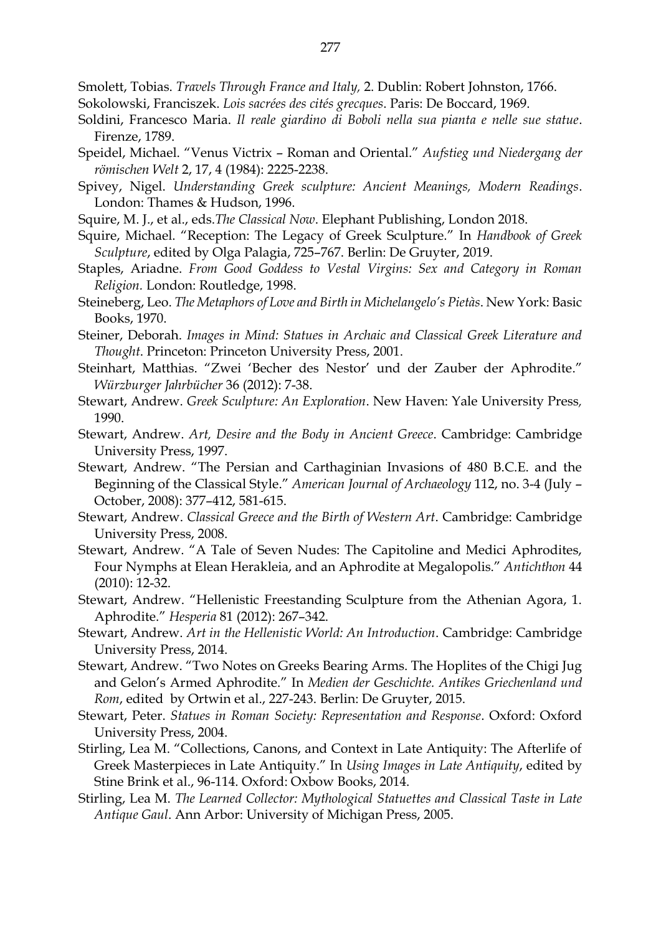Smolett, Tobias. *Travels Through France and Italy,* 2. Dublin: Robert Johnston, 1766.

- Sokolowski, Franciszek. *Lois sacrées des cités grecques*. Paris: De Boccard, 1969.
- Soldini, Francesco Maria. *Il reale giardino di Boboli nella sua pianta e nelle sue statue*. Firenze, 1789.
- Speidel, Michael. "Venus Victrix Roman and Oriental." *Aufstieg und Niedergang der römischen Welt* 2, 17, 4 (1984): 2225-2238.
- Spivey, Nigel. *Understanding Greek sculpture: Ancient Meanings, Modern Readings*. London: Thames & Hudson, 1996.
- Squire, M. J., et al., eds.*The Classical Now*. Elephant Publishing, London 2018.
- Squire, Michael. "Reception: The Legacy of Greek Sculpture." In *Handbook of Greek Sculpture*, edited by Olga Palagia, 725–767. Berlin: De Gruyter, 2019.
- Staples, Ariadne. *From Good Goddess to Vestal Virgins: Sex and Category in Roman Religion.* London: Routledge, 1998.
- Steineberg, Leo. *The Metaphors of Love and Birth in Michelangelo's Pietàs*. New York: Basic Books, 1970.
- Steiner, Deborah. *Images in Mind: Statues in Archaic and Classical Greek Literature and Thought*. Princeton: Princeton University Press, 2001.
- Steinhart, Matthias. "Zwei 'Becher des Nestor' und der Zauber der Aphrodite." *Würzburger Jahrbücher* 36 (2012): 7-38.
- Stewart, Andrew. *Greek Sculpture: An Exploration*. New Haven: Yale University Press*,* 1990.
- Stewart, Andrew. *Art, Desire and the Body in Ancient Greece*. Cambridge: Cambridge University Press, 1997.
- Stewart, Andrew. "The Persian and Carthaginian Invasions of 480 B.C.E. and the Beginning of the Classical Style." *American Journal of Archaeology* 112, no. 3-4 (July – October, 2008): 377–412, 581-615.
- Stewart, Andrew. *Classical Greece and the Birth of Western Art*. Cambridge: Cambridge University Press, 2008.
- Stewart, Andrew. "A Tale of Seven Nudes: The Capitoline and Medici Aphrodites, Four Nymphs at Elean Herakleia, and an Aphrodite at Megalopolis." *Antichthon* 44 (2010): 12-32.
- Stewart, Andrew. "Hellenistic Freestanding Sculpture from the Athenian Agora, 1. Aphrodite." *Hesperia* 81 (2012): 267–342.
- Stewart, Andrew. *Art in the Hellenistic World: An Introduction*. Cambridge: Cambridge University Press, 2014.
- Stewart, Andrew. "Two Notes on Greeks Bearing Arms. The Hoplites of the Chigi Jug and Gelon's Armed Aphrodite." In *Medien der Geschichte. Antikes Griechenland und Rom*, edited by Ortwin et al., 227-243. Berlin: De Gruyter, 2015.
- Stewart, Peter. *Statues in Roman Society: Representation and Response*. Oxford: Oxford University Press, 2004.
- Stirling, Lea M. "Collections, Canons, and Context in Late Antiquity: The Afterlife of Greek Masterpieces in Late Antiquity." In *Using Images in Late Antiquity*, edited by Stine Brink et al., 96-114. Oxford: Oxbow Books, 2014.
- Stirling, Lea M. *The Learned Collector: Mythological Statuettes and Classical Taste in Late Antique Gaul*. Ann Arbor: University of Michigan Press, 2005.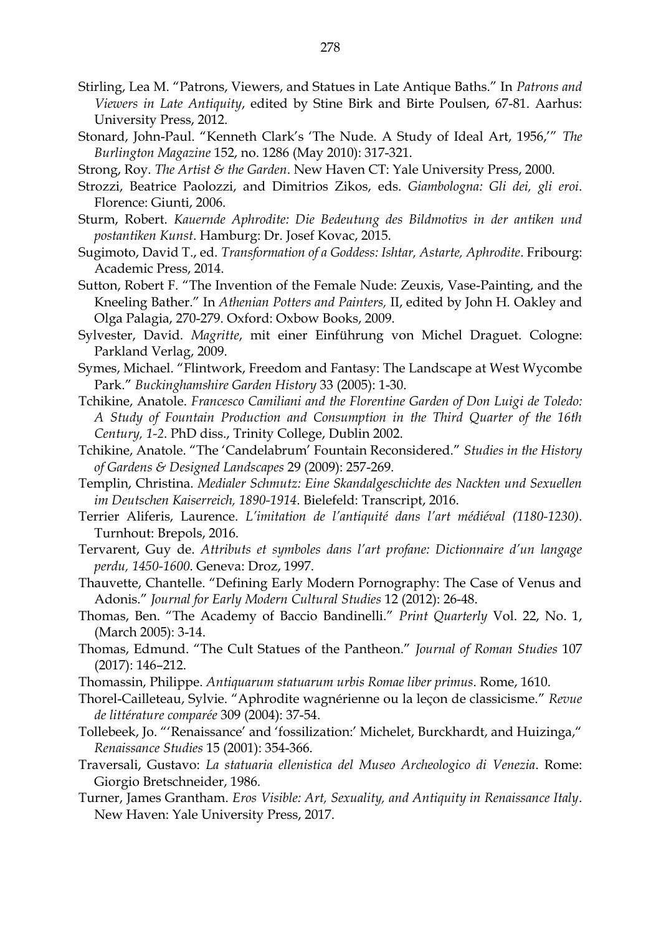- Stirling, Lea M. "Patrons, Viewers, and Statues in Late Antique Baths." In *Patrons and Viewers in Late Antiquity*, edited by Stine Birk and Birte Poulsen, 67-81. Aarhus: University Press, 2012.
- Stonard, John-Paul. "Kenneth Clark's 'The Nude. A Study of Ideal Art, 1956,'" *The Burlington Magazine* 152, no. 1286 (May 2010): 317-321.
- Strong, Roy. *The Artist & the Garden*. New Haven CT: Yale University Press, 2000.
- Strozzi, Beatrice Paolozzi, and Dimitrios Zikos, eds. *Giambologna: Gli dei, gli eroi*. Florence: Giunti, 2006.
- Sturm, Robert. *Kauernde Aphrodite: Die Bedeutung des Bildmotivs in der antiken und postantiken Kunst*. Hamburg: Dr. Josef Kovac, 2015.
- Sugimoto, David T., ed. *Transformation of a Goddess: Ishtar, Astarte, Aphrodite*. Fribourg: Academic Press, 2014.
- Sutton, Robert F. "The Invention of the Female Nude: Zeuxis, Vase-Painting, and the Kneeling Bather." In *Athenian Potters and Painters,* II, edited by John H*.* Oakley and Olga Palagia, 270-279. Oxford: Oxbow Books, 2009.
- Sylvester, David. *Magritte*, mit einer Einführung von Michel Draguet. Cologne: Parkland Verlag, 2009.
- Symes, Michael. "Flintwork, Freedom and Fantasy: The Landscape at West Wycombe Park." *Buckinghamshire Garden History* 33 (2005): 1-30.
- Tchikine, Anatole. *Francesco Camiliani and the Florentine Garden of Don Luigi de Toledo: A Study of Fountain Production and Consumption in the Third Quarter of the 16th Century, 1-2*. PhD diss., Trinity College, Dublin 2002.
- Tchikine, Anatole. "The 'Candelabrum' Fountain Reconsidered." *Studies in the History of Gardens & Designed Landscapes* 29 (2009): 257-269.
- Templin, Christina. *Medialer Schmutz: Eine Skandalgeschichte des Nackten und Sexuellen im Deutschen Kaiserreich, 1890-1914*. Bielefeld: Transcript, 2016.
- Terrier Aliferis, Laurence. *L'imitation de l'antiquité dans l'art médiéval (1180-1230)*. Turnhout: Brepols, 2016.
- Tervarent, Guy de. *Attributs et symboles dans l'art profane: Dictionnaire d'un langage perdu, 1450-1600*. Geneva: Droz, 1997.
- Thauvette, Chantelle. "Defining Early Modern Pornography: The Case of Venus and Adonis." *Journal for Early Modern Cultural Studies* 12 (2012): 26-48.
- Thomas, Ben. "The Academy of Baccio Bandinelli." *Print Quarterly* Vol. 22, No. 1, (March 2005): 3-14.
- Thomas, Edmund. "The Cult Statues of the Pantheon." *Journal of Roman Studies* 107 (2017): 146–212.
- Thomassin, Philippe. *Antiquarum statuarum urbis Romae liber primus*. Rome, 1610.
- Thorel-Cailleteau, Sylvie. "Aphrodite wagnérienne ou la leçon de classicisme." *Revue de littérature comparée* 309 (2004): 37-54.
- Tollebeek, Jo. "'Renaissance' and 'fossilization:' Michelet, Burckhardt, and Huizinga," *Renaissance Studies* 15 (2001): 354-366.
- Traversali, Gustavo: *La statuaria ellenistica del Museo Archeologico di Venezia*. Rome: Giorgio Bretschneider, 1986.
- Turner, James Grantham. *Eros Visible: Art, Sexuality, and Antiquity in Renaissance Italy*. New Haven: Yale University Press, 2017.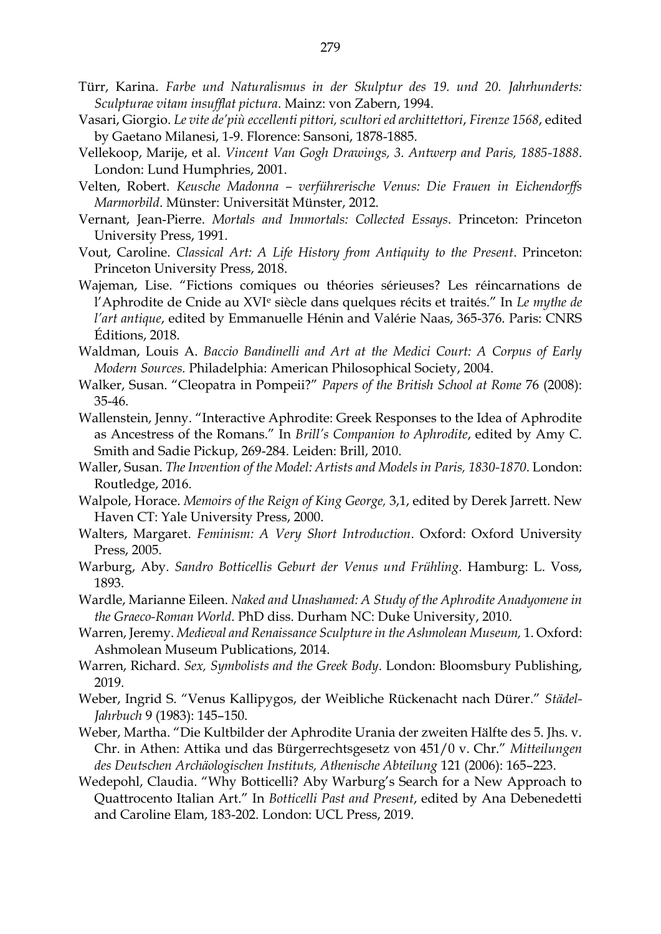- Türr, Karina. *Farbe und Naturalismus in der Skulptur des 19. und 20. Jahrhunderts: Sculpturae vitam insufflat pictura*. Mainz: von Zabern, 1994.
- Vasari, Giorgio. *Le vite de'più eccellenti pittori, scultori ed archittettori*, *Firenze 1568*, edited by Gaetano Milanesi, 1-9. Florence: Sansoni, 1878-1885.
- Vellekoop, Marije, et al. *Vincent Van Gogh Drawings, 3. Antwerp and Paris, 1885-1888*. London: Lund Humphries, 2001.
- Velten, Robert. *Keusche Madonna – verführerische Venus: Die Frauen in Eichendorffs Marmorbild*. Münster: Universität Münster, 2012.
- Vernant, Jean‐Pierre. *Mortals and Immortals: Collected Essays*. Princeton: Princeton University Press, 1991.
- Vout, Caroline. *Classical Art: A Life History from Antiquity to the Present*. Princeton: Princeton University Press, 2018.
- Wajeman, Lise. "Fictions comiques ou théories sérieuses? Les réincarnations de l'Aphrodite de Cnide au XVI<sup>e</sup> siècle dans quelques récits et traités." In *Le mythe de l'art antique*, edited by Emmanuelle Hénin and Valérie Naas, 365-376. Paris: CNRS Éditions, 2018.
- Waldman, Louis A. *Baccio Bandinelli and Art at the Medici Court: A Corpus of Early Modern Sources.* Philadelphia: American Philosophical Society, 2004.
- Walker, Susan. "Cleopatra in Pompeii?" *Papers of the British School at Rome* 76 (2008): 35-46.
- Wallenstein, Jenny. "Interactive Aphrodite: Greek Responses to the Idea of Aphrodite as Ancestress of the Romans." In *Brill's Companion to Aphrodite*, edited by Amy C. Smith and Sadie Pickup, 269-284. Leiden: Brill, 2010.
- Waller, Susan. *The Invention of the Model: Artists and Models in Paris, 1830-1870*. London: Routledge, 2016.
- Walpole, Horace. *Memoirs of the Reign of King George,* 3,1, edited by Derek Jarrett. New Haven CT: Yale University Press, 2000.
- Walters, Margaret. *Feminism: A Very Short Introduction*. Oxford: Oxford University Press, 2005.
- Warburg, Aby. *Sandro Botticellis Geburt der Venus und Frühling*. Hamburg: L. Voss, 1893.
- Wardle, Marianne Eileen. *Naked and Unashamed: A Study of the Aphrodite Anadyomene in the Graeco-Roman World*. PhD diss. Durham NC: Duke University, 2010.
- Warren, Jeremy. *Medieval and Renaissance Sculpture in the Ashmolean Museum,* 1. Oxford: Ashmolean Museum Publications, 2014.
- Warren, Richard. *Sex, Symbolists and the Greek Body*. London: Bloomsbury Publishing, 2019.
- Weber, Ingrid S. "Venus Kallipygos, der Weibliche Rückenacht nach Dürer." *Städel-Jahrbuch* 9 (1983): 145–150.
- Weber, Martha. "Die Kultbilder der Aphrodite Urania der zweiten Hälfte des 5. Jhs. v. Chr. in Athen: Attika und das Bürgerrechtsgesetz von 451/0 v. Chr." *Mitteilungen des Deutschen Archäologischen Instituts, Athenische Abteilung* 121 (2006): 165–223.
- Wedepohl, Claudia. "Why Botticelli? Aby Warburg's Search for a New Approach to Quattrocento Italian Art." In *Botticelli Past and Present*, edited by Ana Debenedetti and Caroline Elam, 183-202. London: UCL Press, 2019.